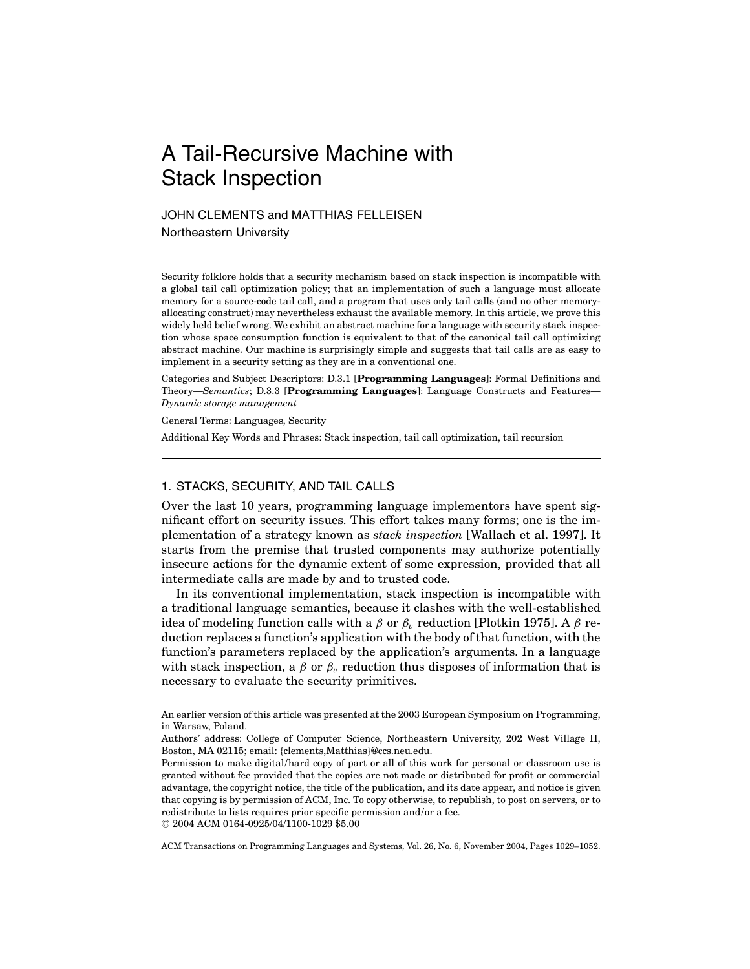# A Tail-Recursive Machine with Stack Inspection

## JOHN CLEMENTS and MATTHIAS FELLEISEN

Northeastern University

Security folklore holds that a security mechanism based on stack inspection is incompatible with a global tail call optimization policy; that an implementation of such a language must allocate memory for a source-code tail call, and a program that uses only tail calls (and no other memoryallocating construct) may nevertheless exhaust the available memory. In this article, we prove this widely held belief wrong. We exhibit an abstract machine for a language with security stack inspection whose space consumption function is equivalent to that of the canonical tail call optimizing abstract machine. Our machine is surprisingly simple and suggests that tail calls are as easy to implement in a security setting as they are in a conventional one.

Categories and Subject Descriptors: D.3.1 [**Programming Languages**]: Formal Definitions and Theory—*Semantics*; D.3.3 [**Programming Languages**]: Language Constructs and Features— *Dynamic storage management*

General Terms: Languages, Security

Additional Key Words and Phrases: Stack inspection, tail call optimization, tail recursion

# 1. STACKS, SECURITY, AND TAIL CALLS

Over the last 10 years, programming language implementors have spent significant effort on security issues. This effort takes many forms; one is the implementation of a strategy known as *stack inspection* [Wallach et al. 1997]. It starts from the premise that trusted components may authorize potentially insecure actions for the dynamic extent of some expression, provided that all intermediate calls are made by and to trusted code.

In its conventional implementation, stack inspection is incompatible with a traditional language semantics, because it clashes with the well-established idea of modeling function calls with a  $β$  or  $β$ <sub>v</sub> reduction [Plotkin 1975]. A  $β$  reduction replaces a function's application with the body of that function, with the function's parameters replaced by the application's arguments. In a language with stack inspection, a  $\beta$  or  $\beta_{\nu}$  reduction thus disposes of information that is necessary to evaluate the security primitives.

An earlier version of this article was presented at the 2003 European Symposium on Programming, in Warsaw, Poland.

Authors' address: College of Computer Science, Northeastern University, 202 West Village H, Boston, MA 02115; email: {clements,Matthias}@ccs.neu.edu.

Permission to make digital/hard copy of part or all of this work for personal or classroom use is granted without fee provided that the copies are not made or distributed for profit or commercial advantage, the copyright notice, the title of the publication, and its date appear, and notice is given that copying is by permission of ACM, Inc. To copy otherwise, to republish, to post on servers, or to redistribute to lists requires prior specific permission and/or a fee. <sup>C</sup> 2004 ACM 0164-0925/04/1100-1029 \$5.00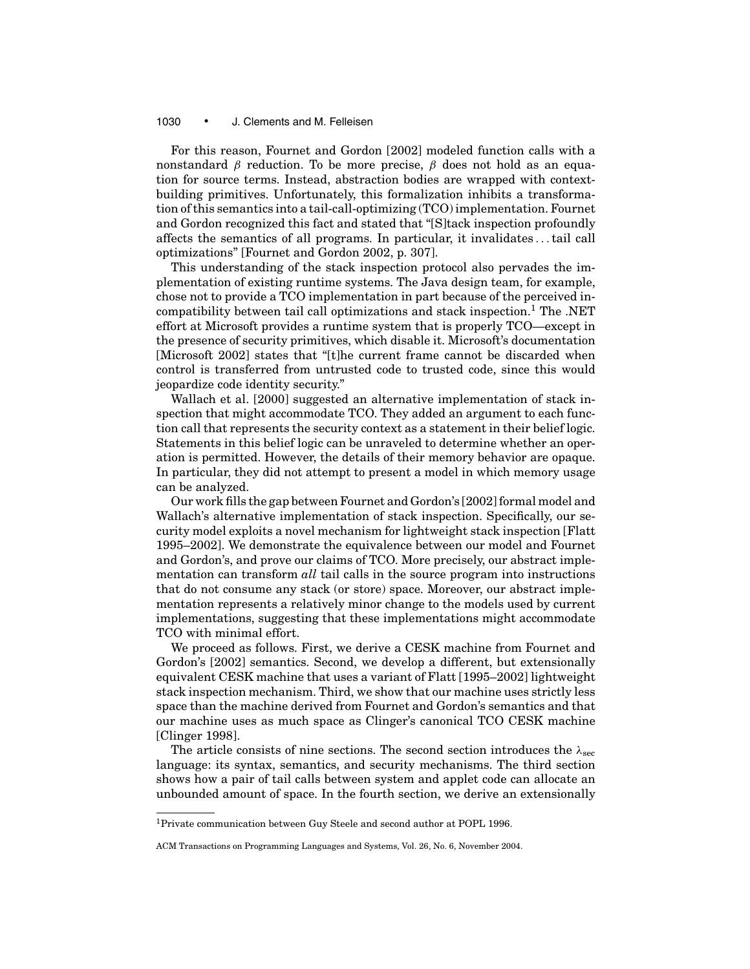For this reason, Fournet and Gordon [2002] modeled function calls with a nonstandard  $\beta$  reduction. To be more precise,  $\beta$  does not hold as an equation for source terms. Instead, abstraction bodies are wrapped with contextbuilding primitives. Unfortunately, this formalization inhibits a transformation of this semantics into a tail-call-optimizing (TCO) implementation. Fournet and Gordon recognized this fact and stated that "[S]tack inspection profoundly affects the semantics of all programs. In particular, it invalidates ...tail call optimizations" [Fournet and Gordon 2002, p. 307].

This understanding of the stack inspection protocol also pervades the implementation of existing runtime systems. The Java design team, for example, chose not to provide a TCO implementation in part because of the perceived incompatibility between tail call optimizations and stack inspection.<sup>1</sup> The .NET effort at Microsoft provides a runtime system that is properly TCO—except in the presence of security primitives, which disable it. Microsoft's documentation [Microsoft 2002] states that "[t]he current frame cannot be discarded when control is transferred from untrusted code to trusted code, since this would jeopardize code identity security."

Wallach et al. [2000] suggested an alternative implementation of stack inspection that might accommodate TCO. They added an argument to each function call that represents the security context as a statement in their belief logic. Statements in this belief logic can be unraveled to determine whether an operation is permitted. However, the details of their memory behavior are opaque. In particular, they did not attempt to present a model in which memory usage can be analyzed.

Our work fills the gap between Fournet and Gordon's [2002] formal model and Wallach's alternative implementation of stack inspection. Specifically, our security model exploits a novel mechanism for lightweight stack inspection [Flatt 1995–2002]. We demonstrate the equivalence between our model and Fournet and Gordon's, and prove our claims of TCO. More precisely, our abstract implementation can transform *all* tail calls in the source program into instructions that do not consume any stack (or store) space. Moreover, our abstract implementation represents a relatively minor change to the models used by current implementations, suggesting that these implementations might accommodate TCO with minimal effort.

We proceed as follows. First, we derive a CESK machine from Fournet and Gordon's [2002] semantics. Second, we develop a different, but extensionally equivalent CESK machine that uses a variant of Flatt [1995–2002] lightweight stack inspection mechanism. Third, we show that our machine uses strictly less space than the machine derived from Fournet and Gordon's semantics and that our machine uses as much space as Clinger's canonical TCO CESK machine [Clinger 1998].

The article consists of nine sections. The second section introduces the  $\lambda_{\text{sec}}$ language: its syntax, semantics, and security mechanisms. The third section shows how a pair of tail calls between system and applet code can allocate an unbounded amount of space. In the fourth section, we derive an extensionally

<sup>&</sup>lt;sup>1</sup>Private communication between Guy Steele and second author at POPL 1996.

ACM Transactions on Programming Languages and Systems, Vol. 26, No. 6, November 2004.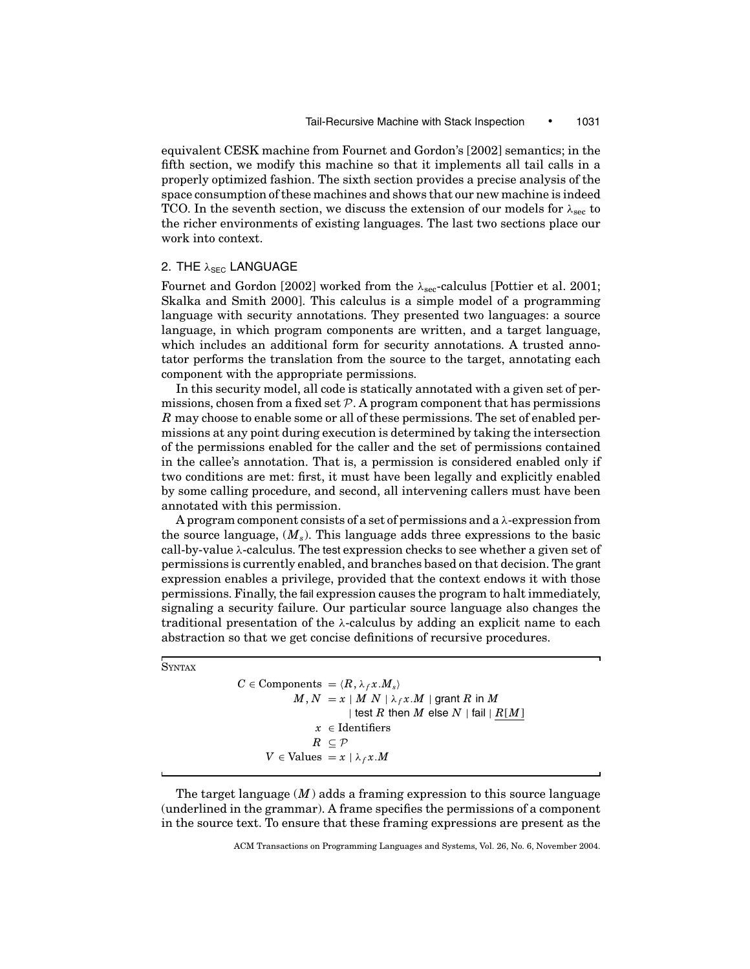equivalent CESK machine from Fournet and Gordon's [2002] semantics; in the fifth section, we modify this machine so that it implements all tail calls in a properly optimized fashion. The sixth section provides a precise analysis of the space consumption of these machines and shows that our new machine is indeed TCO. In the seventh section, we discuss the extension of our models for  $\lambda_{\text{sec}}$  to the richer environments of existing languages. The last two sections place our work into context.

## 2. THE  $\lambda$ <sub>SEC</sub> LANGUAGE

Fournet and Gordon [2002] worked from the  $\lambda_{\text{sec}}$ -calculus [Pottier et al. 2001; Skalka and Smith 2000]. This calculus is a simple model of a programming language with security annotations. They presented two languages: a source language, in which program components are written, and a target language, which includes an additional form for security annotations. A trusted annotator performs the translation from the source to the target, annotating each component with the appropriate permissions.

In this security model, all code is statically annotated with a given set of permissions, chosen from a fixed set  $P$ . A program component that has permissions *R* may choose to enable some or all of these permissions. The set of enabled permissions at any point during execution is determined by taking the intersection of the permissions enabled for the caller and the set of permissions contained in the callee's annotation. That is, a permission is considered enabled only if two conditions are met: first, it must have been legally and explicitly enabled by some calling procedure, and second, all intervening callers must have been annotated with this permission.

A program component consists of a set of permissions and a  $\lambda$ -expression from the source language, (*Ms*). This language adds three expressions to the basic call-by-value λ-calculus. The test expression checks to see whether a given set of permissions is currently enabled, and branches based on that decision. The grant expression enables a privilege, provided that the context endows it with those permissions. Finally, the fail expression causes the program to halt immediately, signaling a security failure. Our particular source language also changes the traditional presentation of the  $\lambda$ -calculus by adding an explicit name to each abstraction so that we get concise definitions of recursive procedures.

# **SYNTAX**

 $C \in \text{Components} = \langle R, \lambda_f x. M_s \rangle$  $M, N = x \mid M \mid N \mid \lambda_f x \ldotp M \mid \text{grant } R \text{ in } M$ | test  $R$  then  $M$  else  $N$  | fail |  $R[M]$ *x* ∈ Identifiers  $R \subset \mathcal{P}$  $V \in$  Values =  $x \mid \lambda_f x.M$ 

The target language  $(M)$  adds a framing expression to this source language (underlined in the grammar). A frame specifies the permissions of a component in the source text. To ensure that these framing expressions are present as the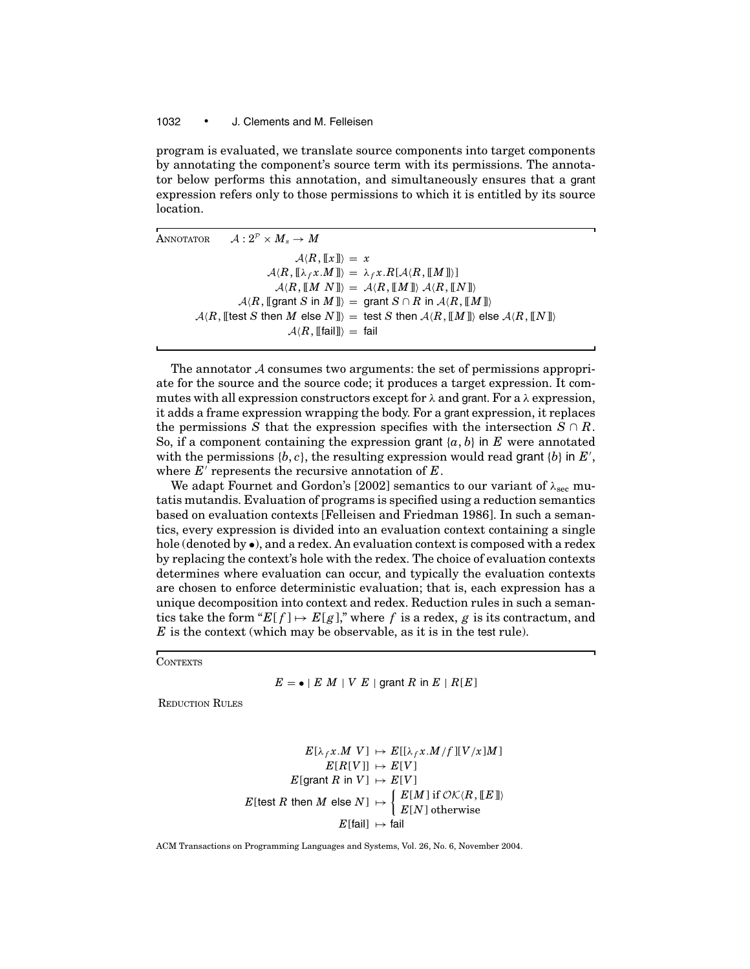program is evaluated, we translate source components into target components by annotating the component's source term with its permissions. The annotator below performs this annotation, and simultaneously ensures that a grant expression refers only to those permissions to which it is entitled by its source location.

ANNOTATOR  $\mathcal{A}: 2^{\mathcal{P}} \times M_s \rightarrow M$  $\mathcal{A}\langle R,\llbracket x \rrbracket \rangle = x$  $\mathcal{A}\langle R,\llbracket \lambda_f x.M \rrbracket \rangle = \lambda_f x.R[\mathcal{A}\langle R,\llbracket M \rrbracket \rangle]$  $\mathcal{A}\langle R,[\![M \ N]\!]\rangle = \mathcal{A}\langle R,[\![M]\!]\rangle \ \mathcal{A}\langle R,[\![N]\!]\rangle$  $A\langle R, \llbracket \text{grant } S \text{ in } M \rrbracket \rangle = \text{grant } S \cap R \text{ in } A\langle R, \llbracket M \rrbracket \rangle$  $A\langle R, \llbracket \text{test } S \text{ then } M \text{ else } N \rrbracket \rangle = \text{test } S \text{ then } A\langle R, \llbracket M \rrbracket \rangle \text{ else } A\langle R, \llbracket N \rrbracket \rangle$  $A\langle R,[\![\text{fail}]\!]\rangle = \text{fail}$ 

The annotator  $A$  consumes two arguments: the set of permissions appropriate for the source and the source code; it produces a target expression. It commutes with all expression constructors except for  $\lambda$  and grant. For a  $\lambda$  expression, it adds a frame expression wrapping the body. For a grant expression, it replaces the permissions *S* that the expression specifies with the intersection  $S \cap R$ . So, if a component containing the expression grant  $\{a, b\}$  in *E* were annotated with the permissions  $\{b, c\}$ , the resulting expression would read grant  $\{b\}$  in  $E'$ , where  $E'$  represents the recursive annotation of  $E$ .

We adapt Fournet and Gordon's [2002] semantics to our variant of  $\lambda_{\text{sec}}$  mutatis mutandis. Evaluation of programs is specified using a reduction semantics based on evaluation contexts [Felleisen and Friedman 1986]. In such a semantics, every expression is divided into an evaluation context containing a single hole (denoted by •), and a redex. An evaluation context is composed with a redex by replacing the context's hole with the redex. The choice of evaluation contexts determines where evaluation can occur, and typically the evaluation contexts are chosen to enforce deterministic evaluation; that is, each expression has a unique decomposition into context and redex. Reduction rules in such a semantics take the form " $E[f] \mapsto E[g]$ ," where f is a redex, g is its contractum, and *E* is the context (which may be observable, as it is in the test rule).

**CONTEXTS** 

$$
E = \bullet \mid E \ M \mid V \ E \mid \mathsf{grant} \ R \ \mathsf{in} \ E \mid R[E]
$$

REDUCTION RULES

$$
E[\lambda_f x.M \ V] \mapsto E[[\lambda_f x.M/f][V/x]M]
$$

$$
E[R[V]] \mapsto E[V]
$$

$$
E[\text{grant } R \text{ in } V] \mapsto E[V]
$$

$$
E[\text{test } R \text{ then } M \text{ else } N] \mapsto \begin{cases} E[M] \text{ if } \mathcal{O} \mathcal{K} \langle R, [\![E]\!]\rangle \\ E[N] \text{ otherwise} \end{cases}
$$

$$
E[\text{fail}] \mapsto \text{fail}
$$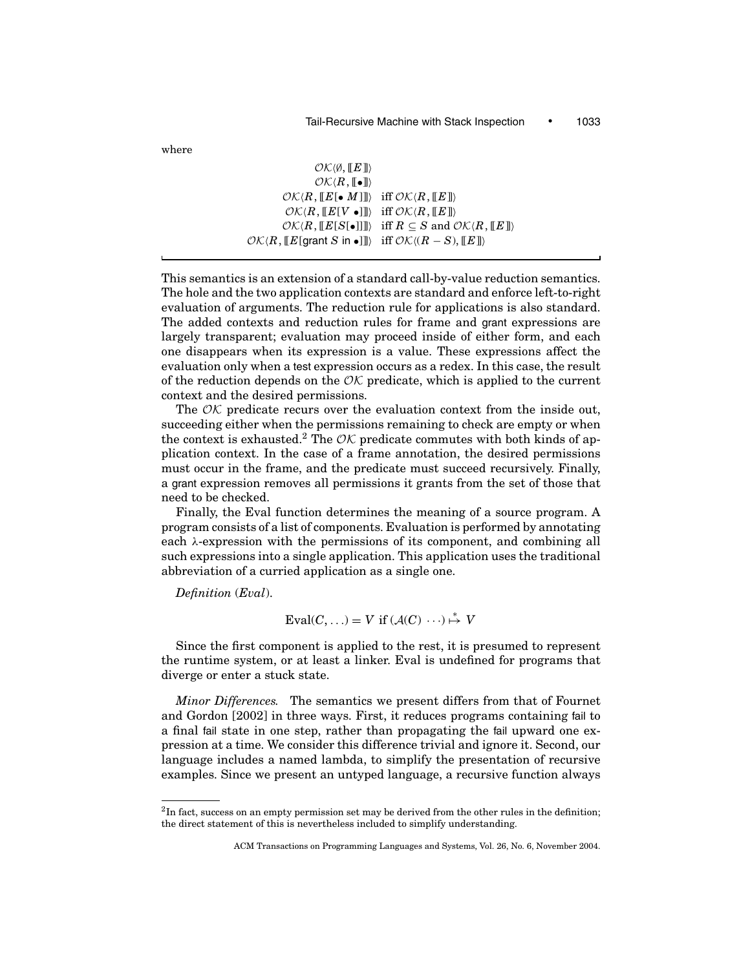where

| $\mathcal{O}\mathcal{K}\langle\emptyset,\llbracket E\rrbracket\rangle$                                                                                                                                             |                                                                                                                                                                   |
|--------------------------------------------------------------------------------------------------------------------------------------------------------------------------------------------------------------------|-------------------------------------------------------------------------------------------------------------------------------------------------------------------|
| $\mathcal{O} \mathcal{K} \langle R, \llbracket \bullet \rrbracket \rangle$                                                                                                                                         |                                                                                                                                                                   |
| $\mathcal{O} \mathcal{K} \langle R, \llbracket E \rrbracket \bullet M \rrbracket$ iff $\mathcal{O} \mathcal{K} \langle R, \llbracket E \rrbracket$                                                                 |                                                                                                                                                                   |
| $\mathcal{O} \mathcal{K} \langle R, \llbracket E \llbracket V \bullet \rrbracket \rangle$ iff $\mathcal{O} \mathcal{K} \langle R, \llbracket E \rrbracket \rangle$                                                 |                                                                                                                                                                   |
|                                                                                                                                                                                                                    | $\mathcal{O}(\mathcal{K}\setminus R, \llbracket E[S[\bullet]] \rrbracket)$ iff $R \subseteq S$ and $\mathcal{O}(\mathcal{K}\setminus R, \llbracket E \rrbracket)$ |
| $\mathcal{O} \mathcal{K} \langle R, \llbracket E \llbracket \text{grant } S \text{ in } \bullet \rrbracket \rrbracket \rangle \text{ iff } \mathcal{O} \mathcal{K} \langle (R-S), \llbracket E \rrbracket \rangle$ |                                                                                                                                                                   |

This semantics is an extension of a standard call-by-value reduction semantics. The hole and the two application contexts are standard and enforce left-to-right evaluation of arguments. The reduction rule for applications is also standard. The added contexts and reduction rules for frame and grant expressions are largely transparent; evaluation may proceed inside of either form, and each one disappears when its expression is a value. These expressions affect the evaluation only when a test expression occurs as a redex. In this case, the result of the reduction depends on the  $\mathcal{O}\mathcal{K}$  predicate, which is applied to the current context and the desired permissions.

The  $\mathcal{O}\mathcal{K}$  predicate recurs over the evaluation context from the inside out, succeeding either when the permissions remaining to check are empty or when the context is exhausted.<sup>2</sup> The  $\mathcal{O}\mathcal{K}$  predicate commutes with both kinds of application context. In the case of a frame annotation, the desired permissions must occur in the frame, and the predicate must succeed recursively. Finally, a grant expression removes all permissions it grants from the set of those that need to be checked.

Finally, the Eval function determines the meaning of a source program. A program consists of a list of components. Evaluation is performed by annotating each λ-expression with the permissions of its component, and combining all such expressions into a single application. This application uses the traditional abbreviation of a curried application as a single one.

*Definition* (*Eval*).

$$
Eval(C, \ldots) = V \text{ if } (\mathcal{A}(C) \cdots) \stackrel{*}{\mapsto} V
$$

Since the first component is applied to the rest, it is presumed to represent the runtime system, or at least a linker. Eval is undefined for programs that diverge or enter a stuck state.

*Minor Differences.* The semantics we present differs from that of Fournet and Gordon [2002] in three ways. First, it reduces programs containing fail to a final fail state in one step, rather than propagating the fail upward one expression at a time. We consider this difference trivial and ignore it. Second, our language includes a named lambda, to simplify the presentation of recursive examples. Since we present an untyped language, a recursive function always

 $2$ In fact, success on an empty permission set may be derived from the other rules in the definition; the direct statement of this is nevertheless included to simplify understanding.

ACM Transactions on Programming Languages and Systems, Vol. 26, No. 6, November 2004.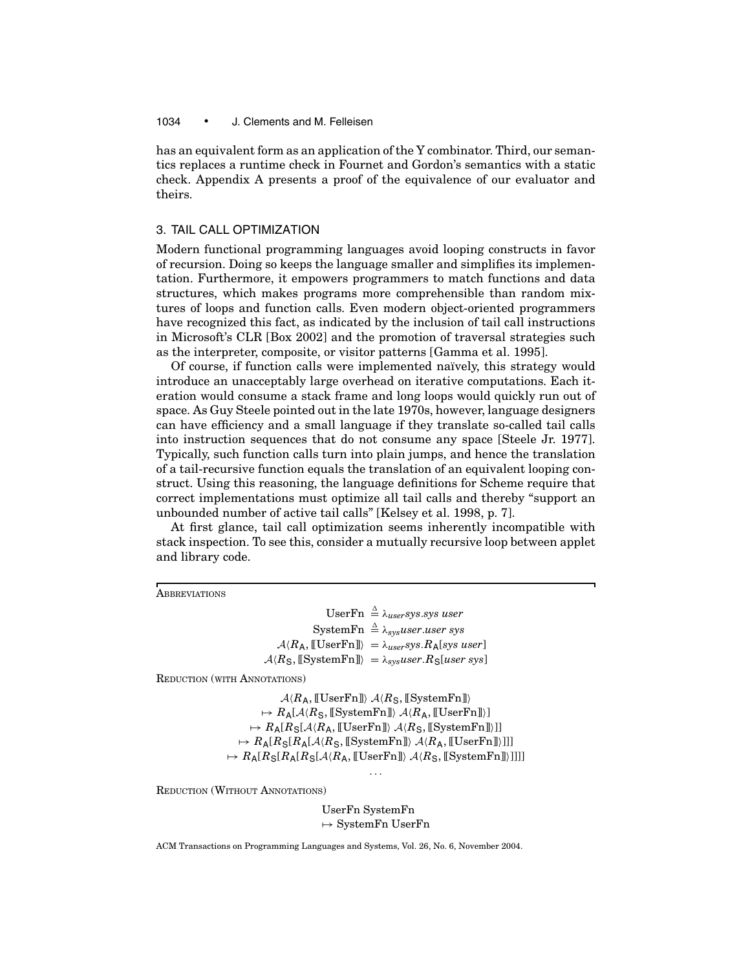has an equivalent form as an application of the Y combinator. Third, our semantics replaces a runtime check in Fournet and Gordon's semantics with a static check. Appendix A presents a proof of the equivalence of our evaluator and theirs.

## 3. TAIL CALL OPTIMIZATION

Modern functional programming languages avoid looping constructs in favor of recursion. Doing so keeps the language smaller and simplifies its implementation. Furthermore, it empowers programmers to match functions and data structures, which makes programs more comprehensible than random mixtures of loops and function calls. Even modern object-oriented programmers have recognized this fact, as indicated by the inclusion of tail call instructions in Microsoft's CLR [Box 2002] and the promotion of traversal strategies such as the interpreter, composite, or visitor patterns [Gamma et al. 1995].

Of course, if function calls were implemented na¨ıvely, this strategy would introduce an unacceptably large overhead on iterative computations. Each iteration would consume a stack frame and long loops would quickly run out of space. As Guy Steele pointed out in the late 1970s, however, language designers can have efficiency and a small language if they translate so-called tail calls into instruction sequences that do not consume any space [Steele Jr. 1977]. Typically, such function calls turn into plain jumps, and hence the translation of a tail-recursive function equals the translation of an equivalent looping construct. Using this reasoning, the language definitions for Scheme require that correct implementations must optimize all tail calls and thereby "support an unbounded number of active tail calls" [Kelsey et al. 1998, p. 7].

At first glance, tail call optimization seems inherently incompatible with stack inspection. To see this, consider a mutually recursive loop between applet and library code.

**ABBREVIATIONS** 

UserFn = λ*usersys*.*sys user*  $\text{SystemFn} \triangleq \lambda_{sys} user.user$  sys  $A\langle R_A, \llbracket \text{UserFn} \rrbracket \rangle = \lambda_{user} sys.R_A[sys user]$  $A(R_S, \llbracket \text{SystemFn} \rrbracket) = \lambda_{sys} user \cdot R_S [user \, sys]$ 

REDUCTION (WITH ANNOTATIONS)

 $A\langle R_A, \llbracket \text{UserFn} \rrbracket \rangle A\langle R_S, \llbracket \text{SystemFn} \rrbracket \rangle$  $\rightarrow R_{\mathsf{A}}[\mathcal{A}\langle R_{\mathsf{S}}, \llbracket \text{SystemFn} \rrbracket \rangle \mathcal{A}\langle R_{\mathsf{A}}, \llbracket \text{UserFn} \rrbracket \rangle]$  $\mapsto R_{\mathsf{A}}[R_{\mathsf{S}}[\mathcal{A}\langle R_{\mathsf{A}}, \llbracket \text{UserFn} \rrbracket] \rangle]$  $\rightarrow R_A[R_S[R_A[\mathcal{A}/R_S, [\text{SystemFn}]) \mathcal{A}/R_A, [\text{UserFn}])]]$  $\mapsto R_A[R_S[R_A[R_S[\mathcal{A} \langle R_A, [\![\text{UserFn}]\!]) \mathcal{A} \langle R_S, [\![\text{SystemFn}]\!])]]]]$ 

...

REDUCTION (WITHOUT ANNOTATIONS)

UserFn SystemFn  $\mapsto$  SystemFn UserFn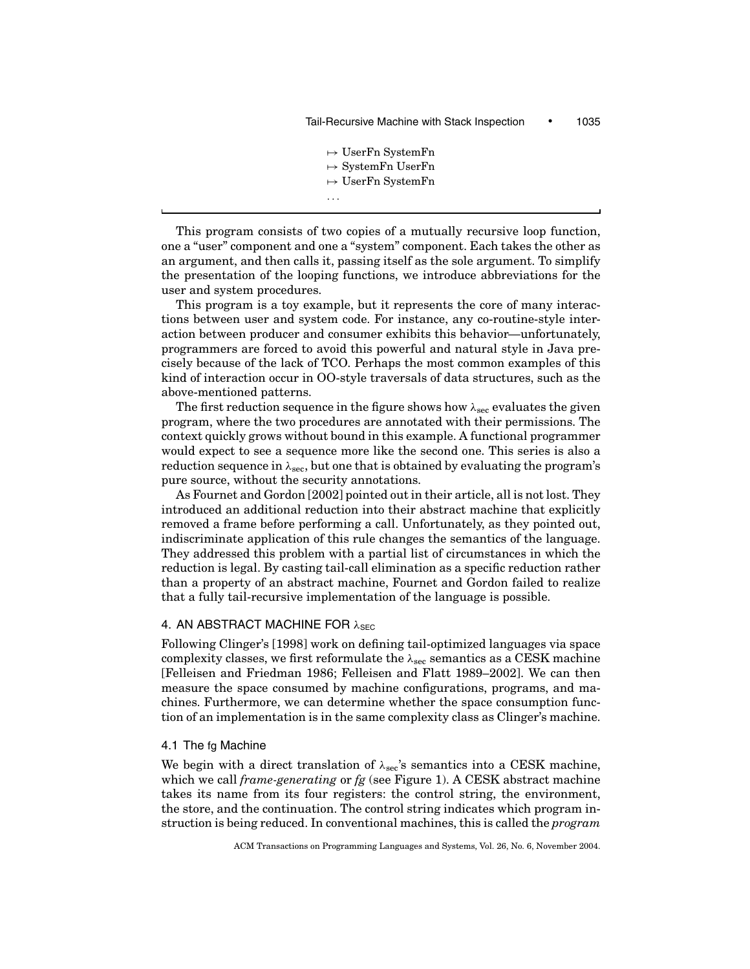Tail-Recursive Machine with Stack Inspection • 1035

- $\mapsto$  UserFn SystemFn
- $\mapsto$  SystemFn UserFn
- $\mapsto$  UserFn SystemFn
- ...

This program consists of two copies of a mutually recursive loop function, one a "user" component and one a "system" component. Each takes the other as an argument, and then calls it, passing itself as the sole argument. To simplify the presentation of the looping functions, we introduce abbreviations for the user and system procedures.

This program is a toy example, but it represents the core of many interactions between user and system code. For instance, any co-routine-style interaction between producer and consumer exhibits this behavior—unfortunately, programmers are forced to avoid this powerful and natural style in Java precisely because of the lack of TCO. Perhaps the most common examples of this kind of interaction occur in OO-style traversals of data structures, such as the above-mentioned patterns.

The first reduction sequence in the figure shows how  $\lambda_{\text{sec}}$  evaluates the given program, where the two procedures are annotated with their permissions. The context quickly grows without bound in this example. A functional programmer would expect to see a sequence more like the second one. This series is also a reduction sequence in  $\lambda_{\text{sec}}$ , but one that is obtained by evaluating the program's pure source, without the security annotations.

As Fournet and Gordon [2002] pointed out in their article, all is not lost. They introduced an additional reduction into their abstract machine that explicitly removed a frame before performing a call. Unfortunately, as they pointed out, indiscriminate application of this rule changes the semantics of the language. They addressed this problem with a partial list of circumstances in which the reduction is legal. By casting tail-call elimination as a specific reduction rather than a property of an abstract machine, Fournet and Gordon failed to realize that a fully tail-recursive implementation of the language is possible.

# 4. AN ABSTRACT MACHINE FOR  $\lambda_{\text{SEC}}$

Following Clinger's [1998] work on defining tail-optimized languages via space complexity classes, we first reformulate the  $\lambda_{\text{sec}}$  semantics as a CESK machine [Felleisen and Friedman 1986; Felleisen and Flatt 1989–2002]. We can then measure the space consumed by machine configurations, programs, and machines. Furthermore, we can determine whether the space consumption function of an implementation is in the same complexity class as Clinger's machine.

#### 4.1 The fg Machine

We begin with a direct translation of  $\lambda_{\text{sec}}$ 's semantics into a CESK machine, which we call *frame-generating* or *fg* (see Figure 1). A CESK abstract machine takes its name from its four registers: the control string, the environment, the store, and the continuation. The control string indicates which program instruction is being reduced. In conventional machines, this is called the *program*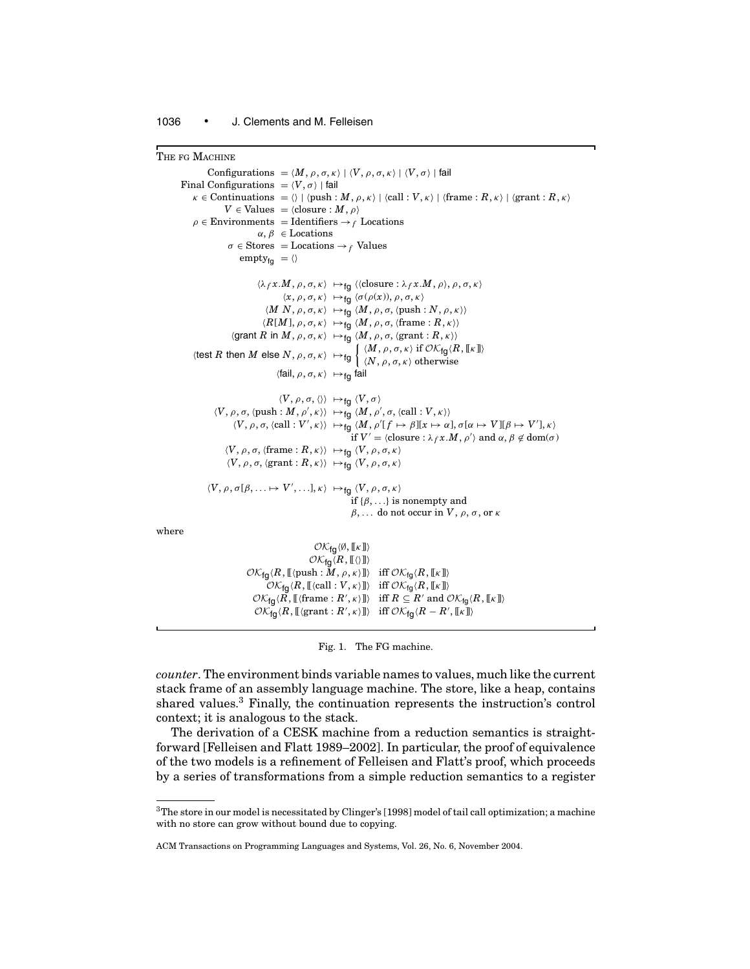THE FG MACHINE Configurations =  $\langle M, \rho, \sigma, \kappa \rangle$  |  $\langle V, \rho, \sigma, \kappa \rangle$  |  $\langle V, \sigma \rangle$  | fail Final Configurations =  $\langle V, \sigma \rangle$  | fail  $\kappa \in$  Continuations =  $\langle \rangle$  |  $\langle \text{push} : M, \rho, \kappa \rangle$  |  $\langle \text{call} : V, \kappa \rangle$  |  $\langle \text{frame} : R, \kappa \rangle$  |  $\langle \text{grant} : R, \kappa \rangle$  $V \in$  Values =  $\langle$ closure : *M*,  $\rho$  $\rangle$  $\rho \in$  Environments = Identifiers  $\rightarrow$  *f* Locations  $\alpha, \beta \in$  Locations  $\sigma \in \text{Stores} = \text{Locations} \rightarrow f \text{ Values}$  $empty_{\text{fa}} = \langle \rangle$  $\langle \lambda_f x. M, \rho, \sigma, \kappa \rangle \; \mapsto_{\textsf{fg}} \; \langle \langle \text{closure}: \lambda_f x. M, \rho \rangle, \rho, \sigma, \kappa \rangle$  $\langle x, \rho, \sigma, \kappa \rangle \mapsto$ fg  $\langle \sigma(\rho(x)), \rho, \sigma, \kappa \rangle$  $\langle M\ N, \rho, \sigma, \kappa\rangle \mapsto \stackrel{\circ}{{\mathsf{fg}}} \langle M, \rho, \sigma, \langle \text{push}: N, \rho, \kappa\rangle \rangle$  $\langle R[M], \rho, \sigma, \kappa \rangle \mapsto \check{f}g \langle M, \rho, \sigma, \langle \text{frame} : R, \kappa \rangle \rangle$  $\langle \text{grant } R \text{ in } M, \rho, \sigma, \kappa \rangle \mapsto \int_{\mathsf{fg}}^{\mathsf{g}} \langle M, \rho, \sigma, \langle \text{grant } : R, \kappa \rangle \rangle$  $\langle \text{test } R \text{ then } M \text{ else } N, \rho, \sigma, \kappa \rangle \mapsto \text{fg} \begin{cases} \langle M, \rho, \sigma, \kappa \rangle \text{ if } \mathcal{O} \mathcal{K}_{\text{fg}}(R, \llbracket \kappa \rrbracket) \\ \langle N, \rho, \sigma, \kappa \rangle \text{ otherwise} \end{cases}$  $\langle \text{fail}, \rho, \sigma, \kappa \rangle \mapsto_{\text{fq}} \text{fail}$  $\langle V, \rho, \sigma, \langle \rangle \rangle \mapsto_{fg} \langle V, \sigma \rangle$  $\langle V, \rho, \sigma, \langle \text{push} : M, \rho', \kappa \rangle \rangle \mapsto_{\text{fg}} \langle M, \rho', \sigma, \langle \text{call} : V, \kappa \rangle \rangle$  $\langle V, \rho, \sigma, \langle \mathrm{call} : V', \kappa \rangle \rangle \rightarrow_{\mathrm{fg}} \langle M, \rho' [f \mapsto \beta] [x \mapsto \alpha], \sigma[\alpha \mapsto V][\beta \mapsto V'], \kappa \rangle$ if  $V' = \langle closure : \lambda_f x.M, \rho' \rangle$  and  $\alpha, \beta \notin dom(\sigma)$ *V*,  $ρ$ ,  $σ$ ,  $\langle \text{frame} : R$ ,  $κ \rangle\rangle \rightarrow_{\text{fg}} \langle V$ ,  $ρ$ ,  $σ$ ,  $κ \rangle$  $\langle V, \rho, \sigma, \langle \text{grant} : R, \kappa \rangle \rangle \rightarrow_{\text{fg}} \langle V, \rho, \sigma, \kappa \rangle$  $\langle V, \rho, \sigma[\beta, \ldots \mapsto V', \ldots], \kappa \rangle \mapsto_{fg} \langle V, \rho, \sigma, \kappa \rangle$ if  $\{\beta, \ldots\}$  is nonempty and  $β$ , ... do not occur in *V*,  $ρ$ ,  $σ$ , or  $κ$ where  $\mathcal{O}\mathcal{K}_{\mathsf{fq}}\langle\emptyset,\llbracket\kappa\rrbracket\rangle$  $\mathcal{O}K_{\mathsf{fq}}(R,\llbracket\langle\rangle\rrbracket)$  $\mathcal{O}\mathcal{K}_{\text{fq}}\langle R,\llbracket\langle \text{push}:M,\rho,\kappa\rangle\rrbracket\rangle \text{ iff } \mathcal{O}\mathcal{K}_{\text{fq}}\langle R,\llbracket\kappa\rrbracket\rangle$  $\mathcal{O}\mathcal{K}_{\mathsf{fg}}(R,\llbracket\langle\text{call}:V,\kappa\rangle\rrbracket\rangle\quad\text{iff }\mathcal{O}\mathcal{K}_{\mathsf{fg}}(R,\llbracket\kappa\rrbracket\rangle$ 

#### Fig. 1. The FG machine.

 $\mathcal{O}\mathcal{K}_{\mathsf{fg}}\langle\vec{R},\llbracket\langle \mathrm{frame}:R',\kappa\rangle\rrbracket\rangle\quad\text{iff }R\subseteq R'\text{ and }\mathcal{O}\mathcal{K}_{\mathsf{fg}}\langle R,\llbracket\kappa\rrbracket\rangle$  $\mathcal{O}K_{\mathsf{fg}}(R,\llbracket\langle \mathrm{grant} : R',\kappa \rangle \rrbracket \rangle \quad \text{iff } \mathcal{O}K_{\mathsf{fg}}(R-R',\llbracket \kappa \rrbracket \rangle)$ 

*counter*. The environment binds variable names to values, much like the current stack frame of an assembly language machine. The store, like a heap, contains shared values.<sup>3</sup> Finally, the continuation represents the instruction's control context; it is analogous to the stack.

The derivation of a CESK machine from a reduction semantics is straightforward [Felleisen and Flatt 1989–2002]. In particular, the proof of equivalence of the two models is a refinement of Felleisen and Flatt's proof, which proceeds by a series of transformations from a simple reduction semantics to a register

<sup>3</sup>The store in our model is necessitated by Clinger's [1998] model of tail call optimization; a machine with no store can grow without bound due to copying.

ACM Transactions on Programming Languages and Systems, Vol. 26, No. 6, November 2004.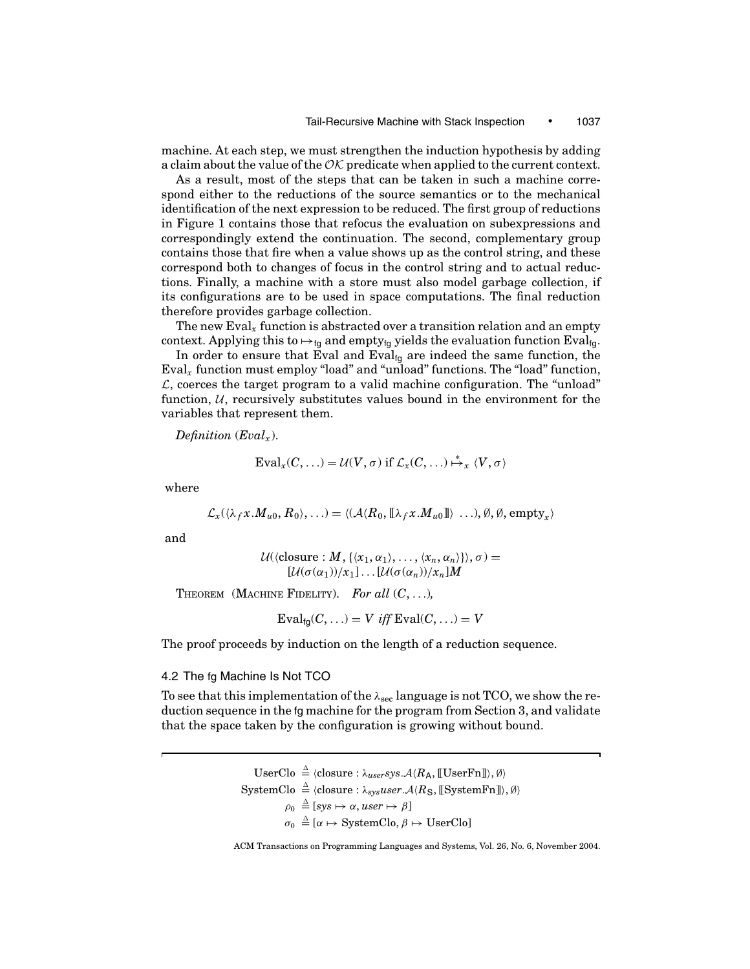machine. At each step, we must strengthen the induction hypothesis by adding a claim about the value of the  $\mathcal{O}\mathcal{K}$  predicate when applied to the current context.

As a result, most of the steps that can be taken in such a machine correspond either to the reductions of the source semantics or to the mechanical identification of the next expression to be reduced. The first group of reductions in Figure 1 contains those that refocus the evaluation on subexpressions and correspondingly extend the continuation. The second, complementary group contains those that fire when a value shows up as the control string, and these correspond both to changes of focus in the control string and to actual reductions. Finally, a machine with a store must also model garbage collection, if its configurations are to be used in space computations. The final reduction therefore provides garbage collection.

The new Eval<sub>*x*</sub> function is abstracted over a transition relation and an empty context. Applying this to  $\mapsto_{fg}$  and empty<sub>fg</sub> yields the evaluation function Eval<sub>fg</sub>.

In order to ensure that Eval and  $Eval_{fg}$  are indeed the same function, the Eval*<sup>x</sup>* function must employ "load" and "unload" functions. The "load" function,  $\mathcal{L}$ , coerces the target program to a valid machine configuration. The "unload" function,  $U$ , recursively substitutes values bound in the environment for the variables that represent them.

*Definition* (*Eval<sub>x</sub>*).

$$
\mathrm{Eval}_x(C, \ldots) = \mathcal{U}(V, \sigma) \text{ if } \mathcal{L}_x(C, \ldots) \stackrel{*}{\mapsto}_x \langle V, \sigma \rangle
$$

where

 $\mathcal{L}_x(\langle \lambda_f x. M_{u0}, R_0 \rangle, \ldots) = \langle (\mathcal{A} \langle R_0, [\![ \lambda_f x. M_{u0} ]\!]\rangle \ldots), \emptyset, \emptyset, \text{empty}_x \rangle$ 

and

$$
\mathcal{U}(\langle \text{closure}: M, \{ \langle x_1, \alpha_1 \rangle, \ldots, \langle x_n, \alpha_n \rangle \}, \sigma) = [\mathcal{U}(\sigma(\alpha_1))/x_1] \ldots [\mathcal{U}(\sigma(\alpha_n))/x_n]M
$$

THEOREM (MACHINE FIDELITY). *For all* (*C*, ...)*,*

 $\text{Eval}_{\text{fo}}(C, \ldots) = V$  *iff*  $\text{Eval}(C, \ldots) = V$ 

The proof proceeds by induction on the length of a reduction sequence.

### 4.2 The fg Machine Is Not TCO

To see that this implementation of the  $\lambda_{\text{sec}}$  language is not TCO, we show the reduction sequence in the fg machine for the program from Section 3, and validate that the space taken by the configuration is growing without bound.

> $\text{UserClo} \ \stackrel{\Delta}{=} \langle \text{closure}: \lambda_{user} sys. \mathcal{A} \langle R_{\mathsf{A}}, \llbracket \text{UserFn} \rrbracket \rangle, \emptyset \rangle$  $\text{SystemClo} \ \triangleq \langle \text{closure} : \lambda_{sys} user. \mathcal{A}\langle R_{\mathsf{S}}, \llbracket \text{SystemFn} \rrbracket \rangle, \emptyset \rangle$  $\rho_0 \stackrel{\Delta}{=} [sys \mapsto \alpha, user \mapsto \beta]$  $\sigma_0 \stackrel{\Delta}{=} [\alpha \mapsto \text{SystemClo}, \beta \mapsto \text{UserClo}]$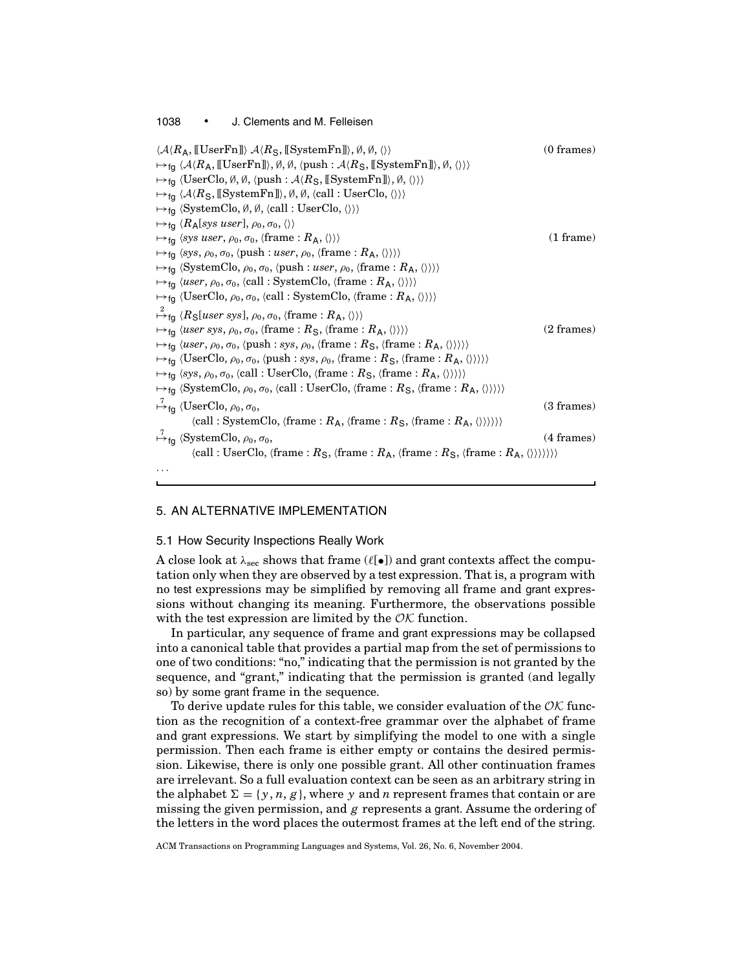$\langle A \langle R_A, \llbracket \text{UserFn} \rrbracket \rangle \, A \langle R_S, \llbracket \text{SystemFn} \rrbracket \rangle, \emptyset, \emptyset, \langle \rangle$  (0 frames)  $\mapsto_{\text{fa}} \langle A(R_A, \llbracket \text{UserFn} \rrbracket \rangle, \emptyset, \emptyset, \emptyset \rangle$  $\mapsto_{\text{fa}} \langle \text{UserClo}, \emptyset, \emptyset, \langle \text{push} : \mathcal{A} \langle R_{\mathsf{S}}, \llbracket \text{SystemFn} \rrbracket \rangle, \emptyset, \langle \rangle \rangle \rangle$  $\mapsto_{\text{fq}} \langle A \langle R_{\mathsf{S}}, \llbracket \text{SystemFn} \rrbracket \rangle, \emptyset, \emptyset, \text{(\text{call} : UserClo, \langle \rangle)} \rangle$  $\mapsto_{\textsf{fq}}$  (SystemClo, Ø, Ø, (call : UserClo,  $\langle \rangle \rangle$ )  $\mapsto_{\textsf{fq}}$   $\langle R_{\mathsf{A}}[sys \text{ user}], \rho_0, \sigma_0, \langle \rangle$  $\mapsto$ <sub>fg</sub> *(sys user*,  $\rho_0$ ,  $\sigma_0$ , *(frame : R<sub>A</sub>*,  $\langle \rangle$ ) (1 frame)  $\mapsto_{\text{fq}} \langle sys, \rho_0, \sigma_0, \langle push : user, \rho_0, \langle frame : R_A, \langle \rangle \rangle \rangle$  $\mapsto_{\text{fq}} \langle \text{SystemClo}, \rho_0, \sigma_0, \langle \text{push}: \text{user}, \rho_0, \langle \text{frame}: R_A, \langle \rangle \rangle \rangle$  $\mapsto_{\text{fq}} \langle user, \rho_0, \sigma_0, \langle call : SystemClo, \langle frame : R_A, \langle \rangle \rangle \rangle$  $\mapsto_{\text{fa}} \langle \text{UserClo}, \rho_0, \sigma_0, \langle \text{call} : \text{SystemClo}, \langle \text{frame} : R_A, \langle \rangle \rangle \rangle$  $\stackrel{2}{\mapsto}_{\mathsf{fg}} \langle R_{\mathsf{S}}[\textit{user sys}], \rho_0, \sigma_0, \langle \textit{frame} : R_{\mathsf{A}}, \langle \rangle \rangle \rangle$  $\mapsto$ <sub>fg</sub> *(user sys,*  $\rho_0$ *,*  $\sigma_0$ *, {frame :*  $R_S$ *, {frame :*  $R_A$ *,*  $\langle \rangle \rangle$ *})* (2 frames)  $\mapsto_{\text{fa}} \langle \textit{user}, \rho_0, \sigma_0, \langle \text{push} : \textit{sys}, \rho_0, \langle \text{frame} : R_{\mathsf{S}}, \langle \text{frame} : R_{\mathsf{A}}, \langle \rangle \rangle \rangle \rangle$  $\mapsto_{\text{fq}} \langle \text{UserClo}, \rho_0, \sigma_0, \langle \text{push} : sys, \rho_0, \langle \text{frame} : R_{\mathsf{S}}, \langle \text{frame} : R_{\mathsf{A}}, \langle \rangle \rangle \rangle \rangle$  $\mapsto$ <sub>fg</sub>  $\langle sys, \rho_0, \sigma_0, \langle call : UserClo, \langle frame : R_S, \langle frame : R_A, \langle \rangle \rangle \rangle \rangle$  $\mapsto$ fg  $\langle SystemClo, \rho_0, \sigma_0, \langle call : UserClo, \langle frame : R_S, \langle frame : R_A, \langle \rangle \rangle \rangle \rangle$  $\stackrel{7}{\mapsto}_{\text{fg}}$  (UserClo,  $\rho_0$ ,  $\sigma_0$ , (3 frames)  $\langle \text{call : SystemClo, \langle frame : } R_A, \langle frame : R_S, \langle frame : R_A, \langle \rangle \rangle \rangle \rangle \rangle$  $\stackrel{7}{\mapsto}_{\text{fg}}$  (SystemClo,  $\rho_0$ ,  $\sigma_0$ , (4 frames)  $\langle \text{call} : \text{UserClo}, \langle \text{frame} : R_{\text{S}}, \langle \text{frame} : R_{\text{A}}, \langle \text{frame} : R_{\text{S}}, \langle \text{frame} : R_{\text{A}}, \langle \rangle \rangle \rangle \rangle \rangle$ ...

## 5. AN ALTERNATIVE IMPLEMENTATION

#### 5.1 How Security Inspections Really Work

A close look at  $\lambda_{\text{sec}}$  shows that frame  $(\ell[\bullet])$  and grant contexts affect the computation only when they are observed by a test expression. That is, a program with no test expressions may be simplified by removing all frame and grant expressions without changing its meaning. Furthermore, the observations possible with the test expression are limited by the  $\mathcal{O}\mathcal{K}$  function.

In particular, any sequence of frame and grant expressions may be collapsed into a canonical table that provides a partial map from the set of permissions to one of two conditions: "no," indicating that the permission is not granted by the sequence, and "grant," indicating that the permission is granted (and legally so) by some grant frame in the sequence.

To derive update rules for this table, we consider evaluation of the  $\mathcal{O}\mathcal{K}$  function as the recognition of a context-free grammar over the alphabet of frame and grant expressions. We start by simplifying the model to one with a single permission. Then each frame is either empty or contains the desired permission. Likewise, there is only one possible grant. All other continuation frames are irrelevant. So a full evaluation context can be seen as an arbitrary string in the alphabet  $\Sigma = \{y, n, g\}$ , where y and *n* represent frames that contain or are missing the given permission, and *g* represents a grant. Assume the ordering of the letters in the word places the outermost frames at the left end of the string.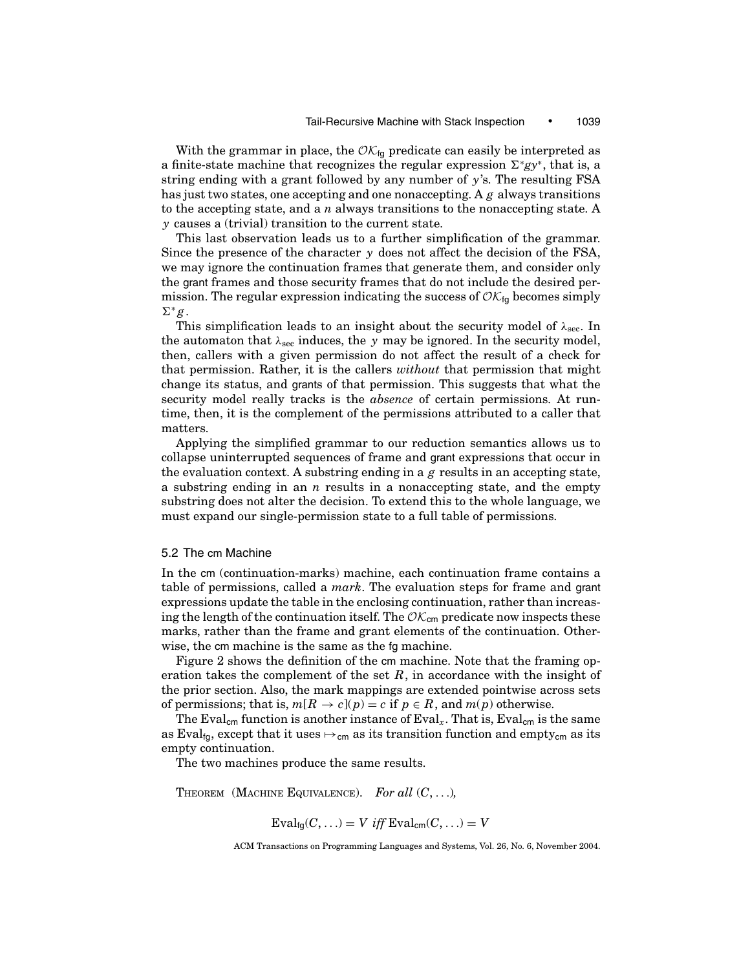With the grammar in place, the  $\mathcal{O}K_{\text{fa}}$  predicate can easily be interpreted as a finite-state machine that recognizes the regular expression  $\Sigma^* g y^*$ , that is, a string ending with a grant followed by any number of *y*'s. The resulting FSA has just two states, one accepting and one nonaccepting. A *g* always transitions to the accepting state, and a *n* always transitions to the nonaccepting state. A *y* causes a (trivial) transition to the current state.

This last observation leads us to a further simplification of the grammar. Since the presence of the character *y* does not affect the decision of the FSA, we may ignore the continuation frames that generate them, and consider only the grant frames and those security frames that do not include the desired permission. The regular expression indicating the success of  $\mathcal{O}\mathcal{K}_{fq}$  becomes simply  $\Sigma^* g$ .

This simplification leads to an insight about the security model of  $\lambda_{\text{sec}}$ . In the automaton that  $\lambda_{\text{sec}}$  induces, the *y* may be ignored. In the security model, then, callers with a given permission do not affect the result of a check for that permission. Rather, it is the callers *without* that permission that might change its status, and grants of that permission. This suggests that what the security model really tracks is the *absence* of certain permissions. At runtime, then, it is the complement of the permissions attributed to a caller that matters.

Applying the simplified grammar to our reduction semantics allows us to collapse uninterrupted sequences of frame and grant expressions that occur in the evaluation context. A substring ending in a *g* results in an accepting state, a substring ending in an *n* results in a nonaccepting state, and the empty substring does not alter the decision. To extend this to the whole language, we must expand our single-permission state to a full table of permissions.

#### 5.2 The cm Machine

In the cm (continuation-marks) machine, each continuation frame contains a table of permissions, called a *mark*. The evaluation steps for frame and grant expressions update the table in the enclosing continuation, rather than increasing the length of the continuation itself. The  $\mathcal{O}\mathcal{K}_{\text{cm}}$  predicate now inspects these marks, rather than the frame and grant elements of the continuation. Otherwise, the cm machine is the same as the fg machine.

Figure 2 shows the definition of the cm machine. Note that the framing operation takes the complement of the set  $R$ , in accordance with the insight of the prior section. Also, the mark mappings are extended pointwise across sets of permissions; that is,  $m[R \to c](p) = c$  if  $p \in R$ , and  $m(p)$  otherwise.

The Eval<sub>cm</sub> function is another instance of Eval<sub>x</sub>. That is, Eval<sub>cm</sub> is the same as Eval<sub>fg</sub>, except that it uses  $\mapsto_{\text{cm}}$  as its transition function and empty<sub>cm</sub> as its empty continuation.

The two machines produce the same results.

THEOREM (MACHINE EQUIVALENCE). For all  $(C, \ldots)$ ,

 $\text{Eval}_{\text{fo}}(C, \ldots) = V$  *iff*  $\text{Eval}_{\text{cm}}(C, \ldots) = V$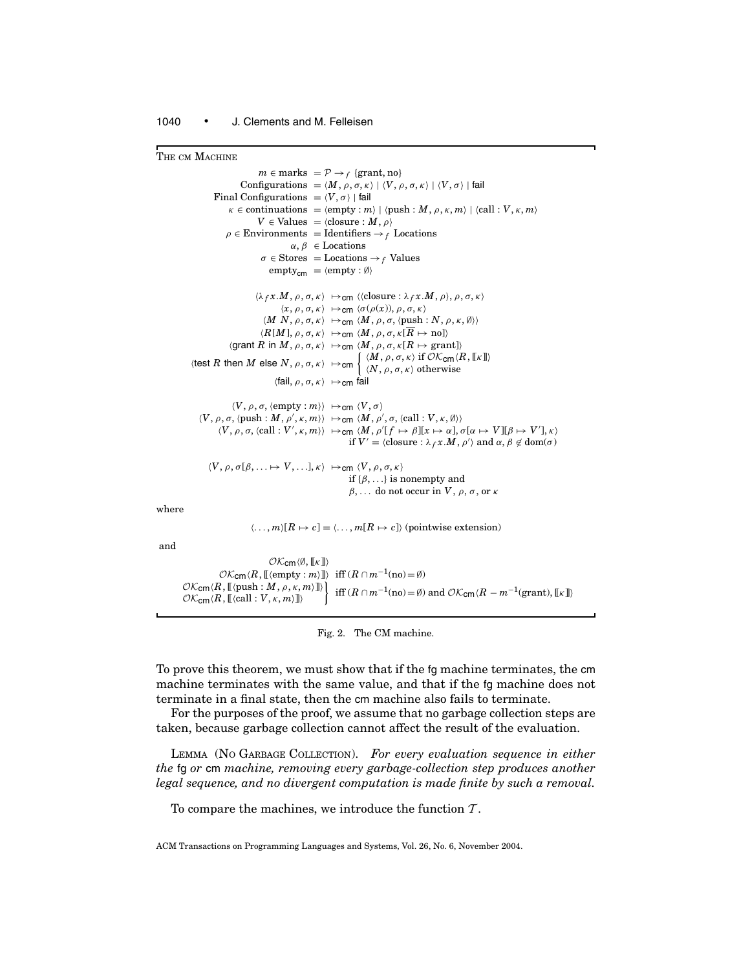```
THE CM MACHINE
```

```
m \in marks = \mathcal{P} \rightarrow f {grant, no}
                          Configurations = \langle M, \rho, \sigma, \kappa \rangle | \langle V, \rho, \sigma, \kappa \rangle | \langle V, \sigma \rangle | fail
            Final Configurations = \langle V, \sigma \rangle | fail
                    \kappa \in continuations = \langleempty : m\rangle | \langlepush : M, \rho, \kappa, m\rangle | \langlecall : V, \kappa, m\rangleV \in Values = \langleclosure : M, \rho\rangle\rho \in Environments = Identifiers \rightarrow f Locations
                                                     \alpha, \beta \in Locations
                                      \sigma \in \text{Stores} = \text{Locations} \rightarrow f \text{ Values}empty_{cm} = \langle empty : \emptyset \rangle\langle \lambda_f x.M, \rho, \sigma, \kappa \rangle \mapsto_{\text{cm}} \langle \langle \text{closure} : \lambda_f x.M, \rho \rangle, \rho, \sigma, \kappa \rangle\langle x, \rho, \sigma, \kappa \rangle \mapstocm \langle \sigma(\rho(x)), \rho, \sigma, \kappa \rangle\langle M \mid N, \rho, \sigma, \kappa \rangle \mapsto_{\text{cm}} \langle M, \rho, \sigma, \langle \text{push} : N, \rho, \kappa, \emptyset \rangle \rangle\langle R[M], \rho, \sigma, \kappa \rangle \mapsto_{\text{cm}} \langle M, \rho, \sigma, \kappa[\overline{R} \mapsto \text{no}] \rangle\langle \text{grant } R \text{ in } M, \rho, \sigma, \kappa \rangle \mapsto \text{cm } \langle M, \rho, \sigma, \kappa [R \mapsto \text{grant}] \rangle\forall test R then M else N, \rho, \sigma, \kappa \rangle \mapstocm \begin{cases} \langle M, \rho, \sigma, \kappa \rangle \text{ if } \mathcal{O} \mathcal{K}_{\text{cm}} \langle R, \llbracket \kappa \rrbracket \rangle, \\ \langle N, \rho, \sigma, \kappa \rangle \text{ otherwise} \end{cases}\langle \text{fail}, \rho, \sigma, \kappa \rangle \mapsto_{\text{cm}} \hat{\text{fail}}\langle V, \rho, \sigma, \langle \text{empty} : m \rangle \rangle \mapsto_{\text{cm}} \langle V, \sigma \rangle\langle V, \rho, \sigma, \langle \text{push} : M, \rho', \kappa, m \rangle \rangle \mapsto_{\text{cm}} \langle M, \rho', \sigma, \langle \text{call} : V, \kappa, \emptyset \rangle \rangle\langle V, \rho, \sigma, \langle \text{call} : V', \kappa, m \rangle \rangle \mapsto_{\text{cm}} \langle M, \rho' [f \mapsto \beta] [x \mapsto \alpha], \sigma[\alpha \mapsto V][\beta \mapsto V'], \kappa \rangleif V' = \langle closure : \lambda_f x.M, \rho' \rangle and \alpha, \beta \notin dom(\sigma)\langle V, \rho, \sigma[\beta, \ldots \mapsto V, \ldots], \kappa \rangle \mapsto_{\text{cm}} \langle V, \rho, \sigma, \kappa \rangleif \{\beta, \ldots\} is nonempty and
                                                                                      β, ... do not occur in V, ρ, σ, or κ\langle \ldots, m \rangle [R \mapsto c] = \langle \ldots, m[R \mapsto c] \rangle (pointwise extension)
```
and

where

 $\mathcal{O}K_{\text{cm}}\langle\emptyset,\llbracket\kappa\rrbracket\rangle$  $\mathcal{O}K_{\text{cm}}(R, \llbracket \langle \text{empty} : m \rangle \rrbracket)$  iff  $(R \cap m^{-1}(\text{no}) = \emptyset)$  $\mathcal{O}\mathcal{K}\mathsf{cm}\langle R,\llbracket\langle \textnormal{push}:M,\rho,\kappa,m\rangle\rrbracket\rangle\rrbracket$  $\mathcal{O}\mathcal{K}$ <sub>C</sub>m $\langle R, \llbracket \langle \mathrm{call} : V, \kappa, m \rangle \rrbracket \rangle$ iff  $(R \cap m^{-1}(\text{no}) = \emptyset)$  and  $\mathcal{O}K_{\text{cm}}(R - m^{-1}(\text{grant}), \llbracket \kappa \rrbracket)$ 

Fig. 2. The CM machine.

To prove this theorem, we must show that if the fg machine terminates, the cm machine terminates with the same value, and that if the fg machine does not terminate in a final state, then the cm machine also fails to terminate.

For the purposes of the proof, we assume that no garbage collection steps are taken, because garbage collection cannot affect the result of the evaluation.

LEMMA (NO GARBAGE COLLECTION). *For every evaluation sequence in either the* fg *or* cm *machine, removing every garbage-collection step produces another legal sequence, and no divergent computation is made finite by such a removal.*

To compare the machines, we introduce the function  $\mathcal{T}$ .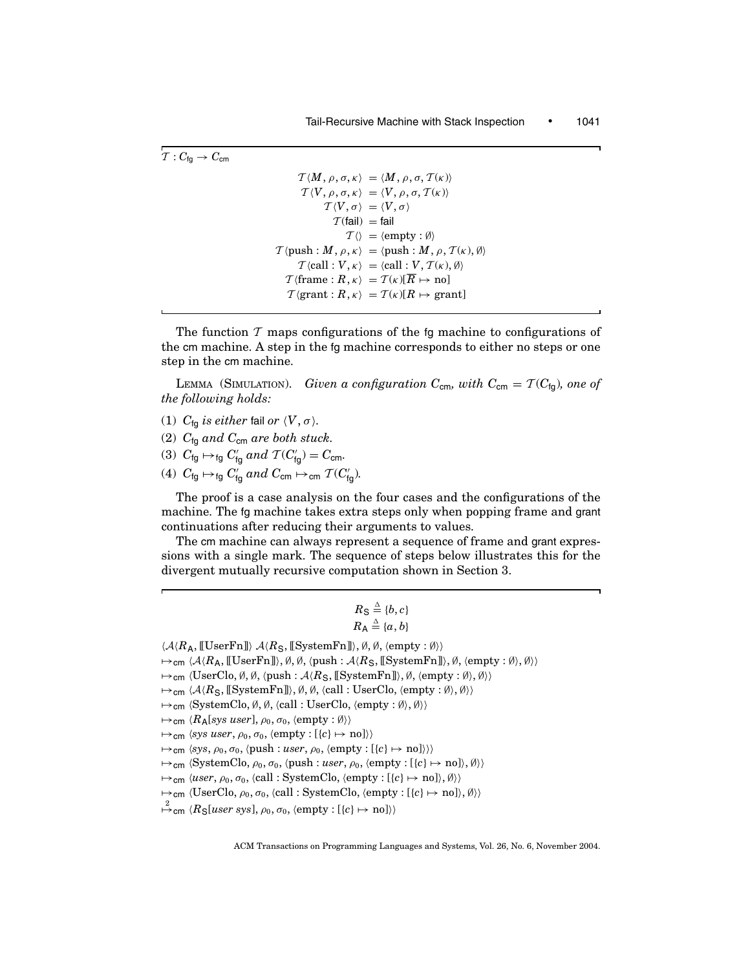$\overline{\mathcal{T}}: C_{\text{fg}} \to C_{\text{cm}}$ 

```
T \langle M, \rho, \sigma, \kappa \rangle = \langle M, \rho, \sigma, T(\kappa) \rangleT \langle V, \rho, \sigma, \kappa \rangle = \langle V, \rho, \sigma, T(\kappa) \rangleT \langle V, \sigma \rangle = \langle V, \sigma \rangleT(fail) = fail
                                     T \langle \rangle = \langle \text{empty} : \emptyset \rangle\mathcal{T}(\text{push}: M, \rho, \kappa) = (\text{push}: M, \rho, \mathcal{T}(\kappa), \emptyset)T \langle \text{call} : V, \kappa \rangle = \langle \text{call} : V, \mathcal{T}(\kappa), \emptyset \rangle\mathcal{T} {frame : R, \kappa} = \mathcal{T}(\kappa)[\overline{R} \mapsto \text{no}]\mathcal{T}{grant : R, \kappa} = \mathcal{T}(\kappa)[R \mapsto \text{grant}]
```
The function  $\mathcal T$  maps configurations of the fq machine to configurations of the cm machine. A step in the fg machine corresponds to either no steps or one step in the cm machine.

LEMMA (SIMULATION). *Given a configuration C<sub>cm</sub>, with C<sub>cm</sub> =*  $\mathcal{T}(C_{\text{fq}})$ *, one of the following holds:*

- (1)  $C_{\text{fg}}$  *is either fail or*  $\langle V, \sigma \rangle$ .
- (2)  $C_{\text{fq}}$  and  $C_{\text{cm}}$  are both stuck.
- (3)  $C_{fg} \mapsto_{fg} C'_{fg} \text{ and } T(C'_{fg}) = C_{cm}.$
- (4)  $C_{\text{fg}} \mapsto_{\text{fg}} C'_{\text{fg}} \text{ and } C_{\text{cm}} \mapsto_{\text{cm}} \mathcal{T}(C'_{\text{fg}}).$

The proof is a case analysis on the four cases and the configurations of the machine. The fg machine takes extra steps only when popping frame and grant continuations after reducing their arguments to values.

The cm machine can always represent a sequence of frame and grant expressions with a single mark. The sequence of steps below illustrates this for the divergent mutually recursive computation shown in Section 3.

$$
R_{\mathsf{S}} \stackrel{\Delta}{=} \{b, c\}
$$

$$
R_{\mathsf{A}} \stackrel{\Delta}{=} \{a, b\}
$$

 $\langle A\langle R_{\rm A}, \llbracket \text{UserFn} \rrbracket \rangle$   $A\langle R_{\rm S}, \llbracket \text{SystemFn} \rrbracket \rangle$ , Ø, Ø,  $\langle \text{empty : } \emptyset \rangle$ 

 $\mapsto$ <sub>cm</sub>  $\langle A\langle R_A, \llbracket \text{UserFn} \rrbracket \rangle, \emptyset, \emptyset, \langle \text{push} : A\langle R_S, \llbracket \text{SystemFn} \rrbracket \rangle, \emptyset, \langle \text{empty} : \emptyset \rangle, \emptyset \rangle \rangle$ 

- $\mapsto$ <sub>cm</sub>  $\langle$ UserClo, Ø, Ø,  $\langle$ push :  $\mathcal{A}\langle R_S,$  [[SystemFn]] $\rangle$ , Ø,  $\langle$ empty : Ø $\rangle$ , Ø $\rangle$ }
- $\mapsto$ <sub>cm</sub>  $\langle A\langle R_{\mathsf{S}}, \llbracket \text{SystemFn} \rrbracket \rangle$ , Ø, Ø,  $\langle$ call : UserClo,  $\langle \text{empty : } \emptyset \rangle$ , Ø $\rangle$
- $\mapsto$ cm  $\langle SystemClo, \emptyset, \emptyset, \langle call : UserClo, \langle empty : \emptyset \rangle, \emptyset \rangle \rangle$
- $\mapsto$ <sub>cm</sub>  $\langle R_A[sys \, user], \rho_0, \sigma_0, \langle empty : \emptyset \rangle$
- $\mapsto$ <sub>cm</sub>  $\langle sys \text{ user}, \rho_0, \sigma_0, \langle \text{empty} : [\{c\} \mapsto \text{no}]\rangle \rangle$
- $\mapsto$ <sub>cm</sub>  $\langle sys, \rho_0, \sigma_0, \langle push : user, \rho_0, \langle empty : [\{c\} \mapsto \text{no}]\rangle \rangle$

 $\mapsto$ <sub>cm</sub>  $\langle SystemClo, \rho_0, \sigma_0, \langle push : user, \rho_0, \langle empty : [\{c\} \mapsto no], \emptyset \rangle \rangle$ 

 $\mapsto$ <sub>cm</sub> (UserClo,  $\rho_0$ ,  $\sigma_0$ , (call : SystemClo, (empty : [{*c*}  $\mapsto$  no]),  $\emptyset$ ))

 $\stackrel{2}{\mapsto}$ cm  $\langle R_{\mathsf{S}}[\textit{user sys}], \rho_0, \sigma_0, \langle \textit{empty} : [\{c\} \mapsto \textit{no}]\rangle \rangle$ 

 $\mapsto$ <sub>cm</sub>  $\langle user, \rho_0, \sigma_0, \langle call : SystemClo, \langle empty : [\{c\} \mapsto no] \rangle, \emptyset \rangle$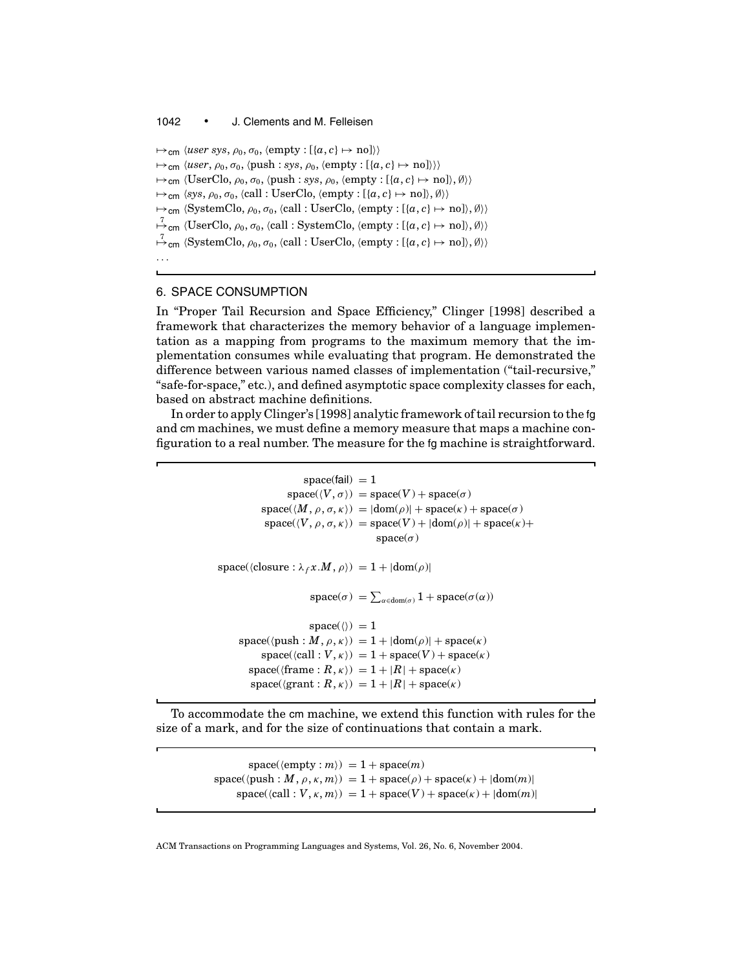$\mapsto$ <sub>cm</sub>  $\langle$ *user sys*,  $\rho_0$ ,  $\sigma_0$ ,  $\langle$ **empty** :  $[\langle a, c \rangle \mapsto$ **no**] $\rangle$  $\mapsto$ cm  $\langle$ *user*,  $\rho_0$ ,  $\sigma_0$ ,  $\langle$ push : *sys*,  $\rho_0$ ,  $\langle$ empty : [ $\{a, c\} \mapsto$  no] $\rangle$ )  $\mapsto$ cm  $\langle$ UserClo,  $\rho_0$ ,  $\sigma_0$ ,  $\langle$ push : *sys*,  $\rho_0$ ,  $\langle$ empty : [ $\{a, c\} \mapsto$  no] $\rangle$ ,  $\emptyset$  $\rangle$  $\mapsto$ cm  $\langle sys, \rho_0, \sigma_0, \langle call : UserClo, \langle empty : [\{a, c\} \mapsto \text{no}]\rangle, \emptyset \rangle \rangle$  $\mapsto$ <sub>cm</sub>  $\langle SystemClo, \rho_0, \sigma_0, \langle call : UserClo, \langle empty : [\{a, c\} \mapsto \text{no}]\rangle, \emptyset \rangle$  $\stackrel{7}{\mapsto}_{\mathsf{cm}}\langle \mathsf{UserClo},\rho_0,\sigma_0,\langle \mathsf{call}:\mathsf{SystemClo},\langle \mathsf{empty}:\left[(a,c\right)\mapsto \mathsf{no}]\rangle,\emptyset\rangle\rangle$  $\stackrel{7}{\mapsto}_{\mathsf{cm}} \langle \mathsf{System} \mathsf{Clo}, \rho_0, \sigma_0, \langle \mathsf{call} : \mathsf{User} \mathsf{Clo}, \langle \mathsf{empty} : [\{a,c\} \mapsto \mathsf{no}]\rangle, \emptyset \rangle \rangle$ ...

# 6. SPACE CONSUMPTION

In "Proper Tail Recursion and Space Efficiency," Clinger [1998] described a framework that characterizes the memory behavior of a language implementation as a mapping from programs to the maximum memory that the implementation consumes while evaluating that program. He demonstrated the difference between various named classes of implementation ("tail-recursive," "safe-for-space," etc.), and defined asymptotic space complexity classes for each, based on abstract machine definitions.

In order to apply Clinger's [1998] analytic framework of tail recursion to the fg and cm machines, we must define a memory measure that maps a machine configuration to a real number. The measure for the fg machine is straightforward.

```
space(fail) = 1space(V, \sigma)) = space(V) + space(\sigma)space(\langle M, \rho, \sigma, \kappa \rangle) = |dom(\rho)| + space(\kappa) + space(\sigma)space(V, \rho, \sigma, \kappa)) = space(V) + |dom(\rho)| + space(\kappa) +space(\sigma)
space(\langle closure : \lambda_f x.M, \rho \rangle) = 1 + |dom(\rho)|{\rm space}(\sigma) \ = \sum_{\alpha \in {\rm dom}(\sigma)} 1 + {\rm space}(\sigma(\alpha))space(\langle \rangle) = 1space(\text{push}: M, \rho, \kappa)) = 1 + |\text{dom}(\rho)| + space(\kappa)space(\text{call}: V, \kappa)) = 1 + space(V) + space(\kappa)space(\text{frame}: R, \kappa)) = 1 + |R| + space(\kappa)space(\text{grant}: R, \kappa) = 1 + |R| + space(\kappa)
```
To accommodate the cm machine, we extend this function with rules for the size of a mark, and for the size of continuations that contain a mark.

> $space(\langle empty : m \rangle) = 1 + space(m)$  $space(\text{push}: M, \rho, \kappa, m)) = 1 + space(\rho) + space(\kappa) + |dom(m)|$  $space(\text{call}: V, \kappa, m)) = 1 + space(V) + space(\kappa) + |dom(m)|$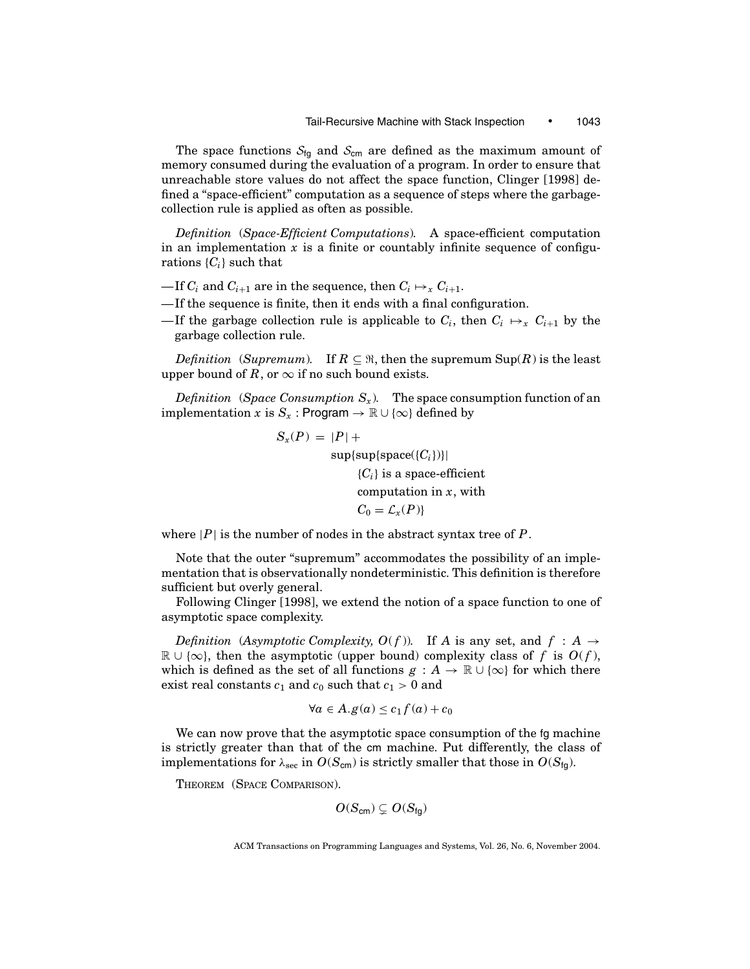The space functions  $S_{\text{fo}}$  and  $S_{\text{cm}}$  are defined as the maximum amount of memory consumed during the evaluation of a program. In order to ensure that unreachable store values do not affect the space function, Clinger [1998] defined a "space-efficient" computation as a sequence of steps where the garbagecollection rule is applied as often as possible.

*Definition* (*Space-Efficient Computations*)*.* A space-efficient computation in an implementation  $x$  is a finite or countably infinite sequence of configurations  $\{C_i\}$  such that

- $-\text{If } C_i \text{ and } C_{i+1} \text{ are in the sequence, then } C_i \mapsto X_i$
- —If the sequence is finite, then it ends with a final configuration.
- —If the garbage collection rule is applicable to  $C_i$ , then  $C_i \mapsto C_{i+1}$  by the garbage collection rule.

*Definition* (*Supremum*). If  $R \subseteq \mathfrak{R}$ , then the supremum  $\text{Sup}(R)$  is the least upper bound of *R*, or  $\infty$  if no such bound exists.

*Definition* (*Space Consumption*  $S_x$ *).* The space consumption function of an implementation *x* is  $S_x$ : Program  $\rightarrow \mathbb{R} \cup \{\infty\}$  defined by

$$
S_x(P) = |P| +
$$
  
 
$$
\sup{\text{sup} \{ \text{space} \{ C_i \} \} } |
$$
  
 
$$
\{ C_i \} \text{ is a space-efficient}
$$
  
 computation in  $x$ , with  
 
$$
C_0 = \mathcal{L}_x(P) \}
$$

where  $|P|$  is the number of nodes in the abstract syntax tree of  $P$ .

Note that the outer "supremum" accommodates the possibility of an implementation that is observationally nondeterministic. This definition is therefore sufficient but overly general.

Following Clinger [1998], we extend the notion of a space function to one of asymptotic space complexity.

*Definition* (*Asymptotic Complexity, O(f)*). If *A* is any set, and  $f : A \rightarrow$  $\mathbb{R} \cup \{\infty\}$ , then the asymptotic (upper bound) complexity class of f is  $O(f)$ , which is defined as the set of all functions  $g : A \to \mathbb{R} \cup \{\infty\}$  for which there exist real constants  $c_1$  and  $c_0$  such that  $c_1 > 0$  and

$$
\forall a \in A. g(a) \le c_1 f(a) + c_0
$$

We can now prove that the asymptotic space consumption of the fq machine is strictly greater than that of the cm machine. Put differently, the class of implementations for  $\lambda_{\text{sec}}$  in  $O(S_{\text{cm}})$  is strictly smaller that those in  $O(S_{\text{fo}})$ .

THEOREM (SPACE COMPARISON).

$$
O(S_{\mathsf{cm}}) \subsetneq O(S_{\mathsf{fg}})
$$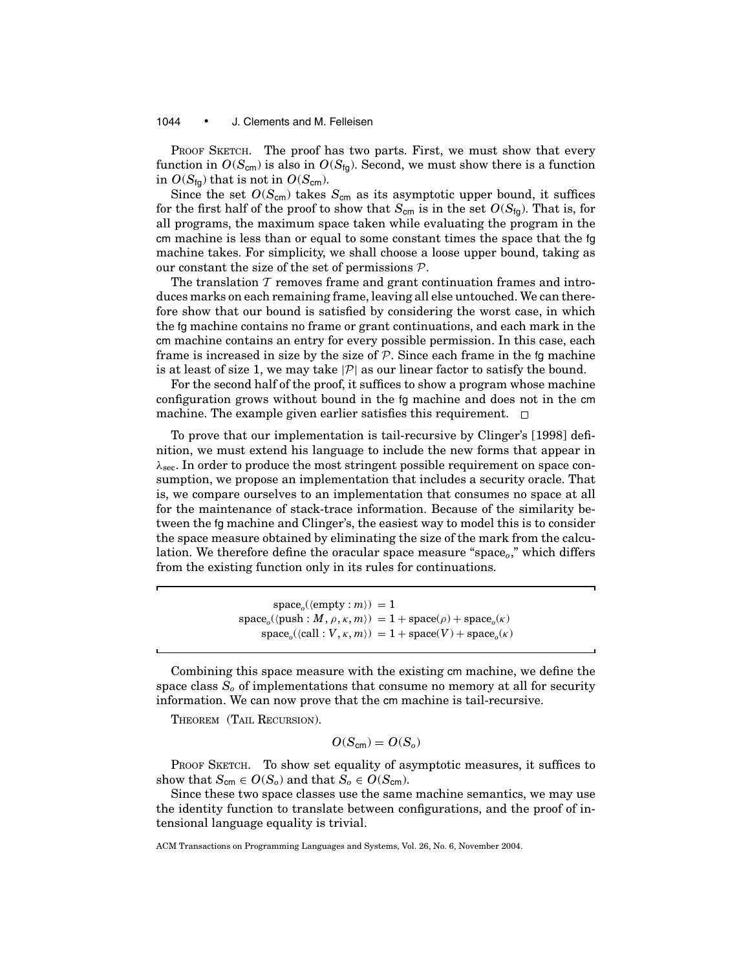PROOF SKETCH. The proof has two parts. First, we must show that every function in  $O(S_{cm})$  is also in  $O(S_{fq})$ . Second, we must show there is a function in  $O(S_{\text{fq}})$  that is not in  $O(S_{\text{cm}})$ .

Since the set  $O(S_{cm})$  takes  $S_{cm}$  as its asymptotic upper bound, it suffices for the first half of the proof to show that  $S_{cm}$  is in the set  $O(S_{f_0})$ . That is, for all programs, the maximum space taken while evaluating the program in the cm machine is less than or equal to some constant times the space that the fg machine takes. For simplicity, we shall choose a loose upper bound, taking as our constant the size of the set of permissions  $P$ .

The translation  $T$  removes frame and grant continuation frames and introduces marks on each remaining frame, leaving all else untouched. We can therefore show that our bound is satisfied by considering the worst case, in which the fg machine contains no frame or grant continuations, and each mark in the cm machine contains an entry for every possible permission. In this case, each frame is increased in size by the size of  $P$ . Since each frame in the fg machine is at least of size 1, we may take  $|\mathcal{P}|$  as our linear factor to satisfy the bound.

For the second half of the proof, it suffices to show a program whose machine configuration grows without bound in the fg machine and does not in the cm machine. The example given earlier satisfies this requirement.  $\Box$ 

To prove that our implementation is tail-recursive by Clinger's [1998] definition, we must extend his language to include the new forms that appear in  $\lambda_{\text{sec}}$ . In order to produce the most stringent possible requirement on space consumption, we propose an implementation that includes a security oracle. That is, we compare ourselves to an implementation that consumes no space at all for the maintenance of stack-trace information. Because of the similarity between the fg machine and Clinger's, the easiest way to model this is to consider the space measure obtained by eliminating the size of the mark from the calculation. We therefore define the oracular space measure "space*o*," which differs from the existing function only in its rules for continuations.

```
space_o(\langle empty : m \rangle) = 1space_o(\langle push : M, \rho, \kappa, m \rangle) = 1 + space(o) + space_o(\kappa)space_o(\langle call : V, \kappa, m \rangle) = 1 + space(V) + space_o(\kappa)
```
Combining this space measure with the existing cm machine, we define the space class *So* of implementations that consume no memory at all for security information. We can now prove that the cm machine is tail-recursive.

THEOREM (TAIL RECURSION).

$$
O(S_{\text{cm}}) = O(S_o)
$$

PROOF SKETCH. To show set equality of asymptotic measures, it suffices to show that  $S_{\text{cm}} \in O(S_o)$  and that  $S_o \in O(S_{\text{cm}})$ .

Since these two space classes use the same machine semantics, we may use the identity function to translate between configurations, and the proof of intensional language equality is trivial.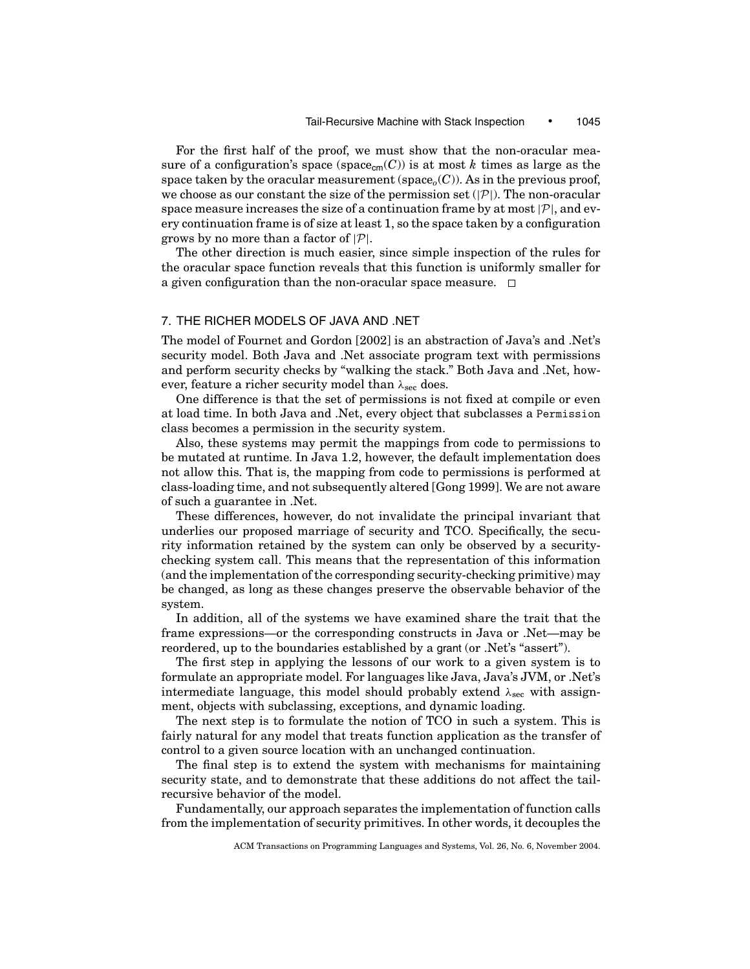For the first half of the proof, we must show that the non-oracular measure of a configuration's space (space<sub>cm</sub> $(C)$ ) is at most *k* times as large as the space taken by the oracular measurement ( $space_0(C)$ ). As in the previous proof, we choose as our constant the size of the permission set  $(|P|)$ . The non-oracular space measure increases the size of a continuation frame by at most  $|\mathcal{P}|$ , and every continuation frame is of size at least 1, so the space taken by a configuration grows by no more than a factor of  $|\mathcal{P}|$ .

The other direction is much easier, since simple inspection of the rules for the oracular space function reveals that this function is uniformly smaller for a given configuration than the non-oracular space measure.  $\Box$ 

## 7. THE RICHER MODELS OF JAVA AND .NET

The model of Fournet and Gordon [2002] is an abstraction of Java's and .Net's security model. Both Java and .Net associate program text with permissions and perform security checks by "walking the stack." Both Java and .Net, however, feature a richer security model than  $\lambda_{\text{sec}}$  does.

One difference is that the set of permissions is not fixed at compile or even at load time. In both Java and .Net, every object that subclasses a Permission class becomes a permission in the security system.

Also, these systems may permit the mappings from code to permissions to be mutated at runtime. In Java 1.2, however, the default implementation does not allow this. That is, the mapping from code to permissions is performed at class-loading time, and not subsequently altered [Gong 1999]. We are not aware of such a guarantee in .Net.

These differences, however, do not invalidate the principal invariant that underlies our proposed marriage of security and TCO. Specifically, the security information retained by the system can only be observed by a securitychecking system call. This means that the representation of this information (and the implementation of the corresponding security-checking primitive) may be changed, as long as these changes preserve the observable behavior of the system.

In addition, all of the systems we have examined share the trait that the frame expressions—or the corresponding constructs in Java or .Net—may be reordered, up to the boundaries established by a grant (or .Net's "assert").

The first step in applying the lessons of our work to a given system is to formulate an appropriate model. For languages like Java, Java's JVM, or .Net's intermediate language, this model should probably extend  $\lambda_{\text{sec}}$  with assignment, objects with subclassing, exceptions, and dynamic loading.

The next step is to formulate the notion of TCO in such a system. This is fairly natural for any model that treats function application as the transfer of control to a given source location with an unchanged continuation.

The final step is to extend the system with mechanisms for maintaining security state, and to demonstrate that these additions do not affect the tailrecursive behavior of the model.

Fundamentally, our approach separates the implementation of function calls from the implementation of security primitives. In other words, it decouples the

ACM Transactions on Programming Languages and Systems, Vol. 26, No. 6, November 2004.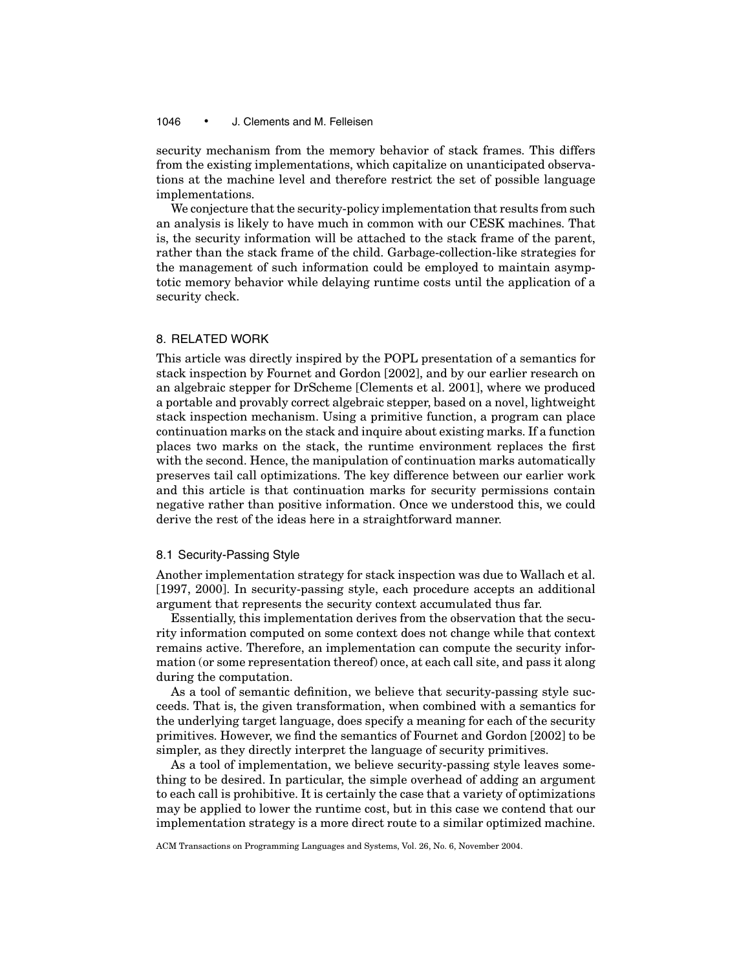security mechanism from the memory behavior of stack frames. This differs from the existing implementations, which capitalize on unanticipated observations at the machine level and therefore restrict the set of possible language implementations.

We conjecture that the security-policy implementation that results from such an analysis is likely to have much in common with our CESK machines. That is, the security information will be attached to the stack frame of the parent, rather than the stack frame of the child. Garbage-collection-like strategies for the management of such information could be employed to maintain asymptotic memory behavior while delaying runtime costs until the application of a security check.

#### 8. RELATED WORK

This article was directly inspired by the POPL presentation of a semantics for stack inspection by Fournet and Gordon [2002], and by our earlier research on an algebraic stepper for DrScheme [Clements et al. 2001], where we produced a portable and provably correct algebraic stepper, based on a novel, lightweight stack inspection mechanism. Using a primitive function, a program can place continuation marks on the stack and inquire about existing marks. If a function places two marks on the stack, the runtime environment replaces the first with the second. Hence, the manipulation of continuation marks automatically preserves tail call optimizations. The key difference between our earlier work and this article is that continuation marks for security permissions contain negative rather than positive information. Once we understood this, we could derive the rest of the ideas here in a straightforward manner.

#### 8.1 Security-Passing Style

Another implementation strategy for stack inspection was due to Wallach et al. [1997, 2000]. In security-passing style, each procedure accepts an additional argument that represents the security context accumulated thus far.

Essentially, this implementation derives from the observation that the security information computed on some context does not change while that context remains active. Therefore, an implementation can compute the security information (or some representation thereof) once, at each call site, and pass it along during the computation.

As a tool of semantic definition, we believe that security-passing style succeeds. That is, the given transformation, when combined with a semantics for the underlying target language, does specify a meaning for each of the security primitives. However, we find the semantics of Fournet and Gordon [2002] to be simpler, as they directly interpret the language of security primitives.

As a tool of implementation, we believe security-passing style leaves something to be desired. In particular, the simple overhead of adding an argument to each call is prohibitive. It is certainly the case that a variety of optimizations may be applied to lower the runtime cost, but in this case we contend that our implementation strategy is a more direct route to a similar optimized machine.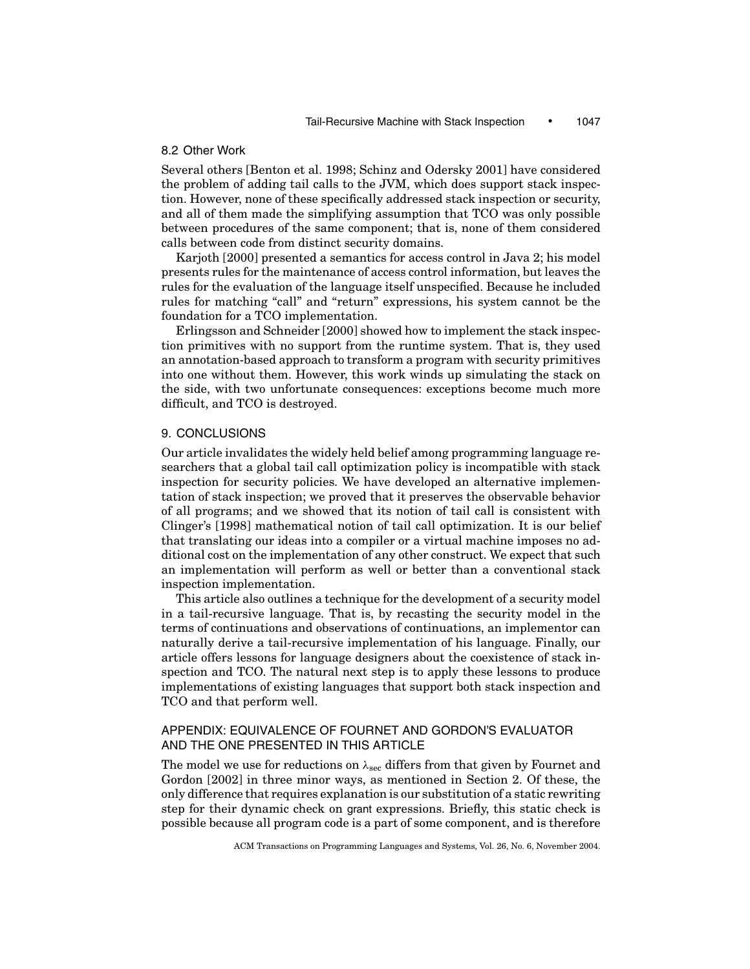## 8.2 Other Work

Several others [Benton et al. 1998; Schinz and Odersky 2001] have considered the problem of adding tail calls to the JVM, which does support stack inspection. However, none of these specifically addressed stack inspection or security, and all of them made the simplifying assumption that TCO was only possible between procedures of the same component; that is, none of them considered calls between code from distinct security domains.

Karjoth [2000] presented a semantics for access control in Java 2; his model presents rules for the maintenance of access control information, but leaves the rules for the evaluation of the language itself unspecified. Because he included rules for matching "call" and "return" expressions, his system cannot be the foundation for a TCO implementation.

Erlingsson and Schneider [2000] showed how to implement the stack inspection primitives with no support from the runtime system. That is, they used an annotation-based approach to transform a program with security primitives into one without them. However, this work winds up simulating the stack on the side, with two unfortunate consequences: exceptions become much more difficult, and TCO is destroyed.

# 9. CONCLUSIONS

Our article invalidates the widely held belief among programming language researchers that a global tail call optimization policy is incompatible with stack inspection for security policies. We have developed an alternative implementation of stack inspection; we proved that it preserves the observable behavior of all programs; and we showed that its notion of tail call is consistent with Clinger's [1998] mathematical notion of tail call optimization. It is our belief that translating our ideas into a compiler or a virtual machine imposes no additional cost on the implementation of any other construct. We expect that such an implementation will perform as well or better than a conventional stack inspection implementation.

This article also outlines a technique for the development of a security model in a tail-recursive language. That is, by recasting the security model in the terms of continuations and observations of continuations, an implementor can naturally derive a tail-recursive implementation of his language. Finally, our article offers lessons for language designers about the coexistence of stack inspection and TCO. The natural next step is to apply these lessons to produce implementations of existing languages that support both stack inspection and TCO and that perform well.

# APPENDIX: EQUIVALENCE OF FOURNET AND GORDON'S EVALUATOR AND THE ONE PRESENTED IN THIS ARTICLE

The model we use for reductions on  $\lambda_{\text{sec}}$  differs from that given by Fournet and Gordon [2002] in three minor ways, as mentioned in Section 2. Of these, the only difference that requires explanation is our substitution of a static rewriting step for their dynamic check on grant expressions. Briefly, this static check is possible because all program code is a part of some component, and is therefore

ACM Transactions on Programming Languages and Systems, Vol. 26, No. 6, November 2004.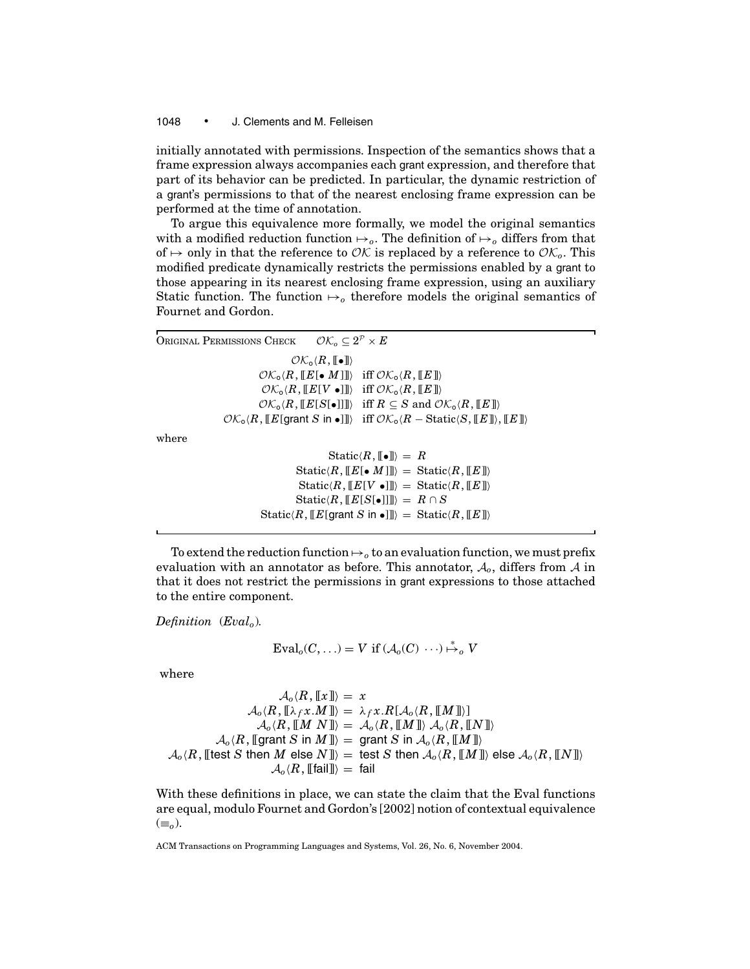initially annotated with permissions. Inspection of the semantics shows that a frame expression always accompanies each grant expression, and therefore that part of its behavior can be predicted. In particular, the dynamic restriction of a grant's permissions to that of the nearest enclosing frame expression can be performed at the time of annotation.

To argue this equivalence more formally, we model the original semantics with a modified reduction function  $\mapsto_o$ . The definition of  $\mapsto_o$  differs from that of  $\mapsto$  only in that the reference to  $\mathcal{O}\mathcal{K}$  is replaced by a reference to  $\mathcal{O}\mathcal{K}_o$ . This modified predicate dynamically restricts the permissions enabled by a grant to those appearing in its nearest enclosing frame expression, using an auxiliary Static function. The function  $\mapsto_o$  therefore models the original semantics of Fournet and Gordon.

```
ORIGINAL PERMISSIONS CHECK \mathcal{O}\mathcal{K}_o \subseteq 2^{\mathcal{P}} \times E\mathcal{O}\mathcal{K}_{\mathsf{o}}\langle R,\llbracket\bullet\rrbracket\rangle\mathcal{O}\mathcal{K}_{\mathsf{o}}(R,\llbracket E\llbracket \bullet M\rrbracket) iff \mathcal{O}\mathcal{K}_{\mathsf{o}}(R,\llbracket E\rrbracket)\mathcal{O}\mathcal{K}_{\mathsf{o}}\langle R,\llbracket E\llbracket V \bullet \rrbracket \rrbracket \rangle \text{ iff } \mathcal{O}\mathcal{K}_{\mathsf{o}}\langle R,\llbracket E\rrbracket \rangle\mathcal{O}\mathcal{K}_{\text{o}}(R,\llbracket E[S[\bullet]] \rrbracket) iff R \subseteq S and \mathcal{O}\mathcal{K}_{\text{o}}(R,\llbracket E \rrbracket)\mathcal{O}\mathcal{K}_{\mathsf{o}}(R,\llbracket E\llbracket \mathsf{grant}\ S\ \mathsf{in}\ \bullet\rrbracket) iff \mathcal{O}\mathcal{K}_{\mathsf{o}}(R-\text{Static}\langle S,\llbracket E\rrbracket),\llbracket E\rrbracket)where
                                                                                                                 \text{Static}\langle R,\llbracket \bullet \rrbracket \rangle = R\text{Static}\langle R, [\![E[\bullet\ M]\!] \rangle = \text{Static}\langle R, [\![E]\!] \rangle\text{Static}\langle R, [\![E[V \bullet]]\!]\rangle = \text{Static}\langle R, [\![E]\!]\rangle
```
To extend the reduction function  $\rightarrow$ <sub>o</sub> to an evaluation function, we must prefix evaluation with an annotator as before. This annotator, A*o*, differs from A in that it does not restrict the permissions in grant expressions to those attached to the entire component.

 $Static(R, \llbracket E[S[\bullet]] \rrbracket) = R \cap S$ Static $\langle R, \llbracket E \rrbracket$ grant *S* in  $\bullet \rrbracket$ ) = Static $\langle R, \llbracket E \rrbracket$ )

*Definition* (*Evalo*)*.*

$$
\text{Eval}_o(C, \ldots) = V \text{ if } (\mathcal{A}_o(C) \cdots) \stackrel{*}{\mapsto}_o V
$$

where

 $\mathcal{A}_o \langle R, \llbracket x \rrbracket \rangle = x$  $\mathcal{A}_o \langle R, \llbracket \lambda_f x \ldotp M \rrbracket \rangle = \lambda_f x \ldotp R \mathcal{A}_o \langle R, \llbracket M \rrbracket \rangle$  $\mathcal{A}_o \langle R, \llbracket M \rrbracket \rangle = \mathcal{A}_o \langle R, \llbracket M \rrbracket \rangle \mathcal{A}_o \langle R, \llbracket N \rrbracket \rangle$  $\mathcal{A}_o \langle R, \llbracket \text{grant } S \text{ in } M \rrbracket \rangle = \text{ grant } S \text{ in } \mathcal{A}_o \langle R, \llbracket M \rrbracket \rangle$  $\mathcal{A}_o \langle R, \llbracket \text{test } S \text{ then } M \text{ else } N \rrbracket \rangle = \text{test } S \text{ then } \mathcal{A}_o \langle R, \llbracket M \rrbracket \rangle \text{ else } \mathcal{A}_o \langle R, \llbracket N \rrbracket \rangle$  $A_0 \langle R, \llbracket \text{fail} \rrbracket \rangle = \text{fail}$ 

With these definitions in place, we can state the claim that the Eval functions are equal, modulo Fournet and Gordon's [2002] notion of contextual equivalence (≡*o*).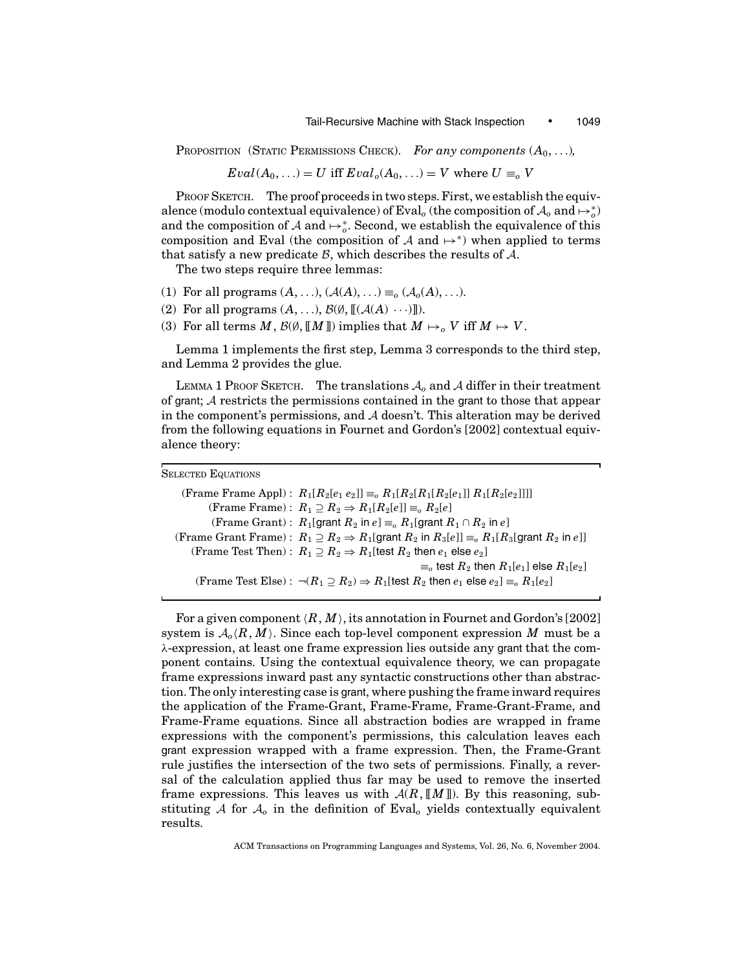PROPOSITION (STATIC PERMISSIONS CHECK). For any components  $(A_0, \ldots)$ ,

 $Eval(A_0, \ldots) = U$  iff  $Eval_0(A_0, \ldots) = V$  where  $U \equiv_0 V$ 

PROOF SKETCH. The proof proceeds in two steps. First, we establish the equivalence (modulo contextual equivalence) of Eval<sub>o</sub> (the composition of  $\mathcal{A}_o$  and  $\mapsto_o^*$ ) and the composition of  $A$  and  $\mapsto_o^*$ . Second, we establish the equivalence of this composition and Eval (the composition of A and  $\mapsto^*$ ) when applied to terms that satisfy a new predicate  $\beta$ , which describes the results of  $\mathcal{A}$ .

The two steps require three lemmas:

- (1) For all programs  $(A, \ldots), (A(A), \ldots) \equiv_o (A_0(A), \ldots).$
- (2) For all programs  $(A, \ldots), \mathcal{B}(\emptyset, [[(\mathcal{A}(A) \cdots)]]).$
- (3) For all terms  $M$ ,  $\mathcal{B}(\emptyset, [\![M]\!])$  implies that  $M \mapsto_{\scriptscriptstyle O} V$  iff  $M \mapsto V$ .

Lemma 1 implements the first step, Lemma 3 corresponds to the third step, and Lemma 2 provides the glue.

LEMMA 1 PROOF SKETCH. The translations  $A_0$  and  $A$  differ in their treatment of grant; A restricts the permissions contained in the grant to those that appear in the component's permissions, and A doesn't. This alteration may be derived from the following equations in Fournet and Gordon's [2002] contextual equivalence theory:

SELECTED EQUATIONS

 $R_1[R_2[e_1 e_2]] = R_1[R_2[R_1[e_1 e_2]] = R_1[R_2[R_1[R_2[e_1]]] R_1[R_2[e_2]]]$ (Frame Frame):  $R_1 \supseteq R_2 \Rightarrow R_1[R_2[e]] \equiv_o R_2[e]$ (Frame Grant):  $R_1$ [grant  $R_2$  in  $e$ ]  $\equiv_o R_1$ [grant  $R_1 \cap R_2$  in  $e$ ] (Frame Grant Frame):  $R_1 \supseteq R_2 \Rightarrow R_1$ [grant  $R_2$  in  $R_3[e]$ ]  $\equiv_o R_1[R_3[$ grant  $R_2$  in  $e$ ]] (Frame Test Then):  $R_1 \supseteq R_2 \Rightarrow R_1$ [test  $R_2$  then  $e_1$  else  $e_2$ ]  $\equiv_o$  test  $R_2$  then  $R_1[e_1]$  else  $R_1[e_2]$ (Frame Test Else):  $\neg (R_1 \supseteq R_2) \Rightarrow R_1$ [test  $R_2$  then  $e_1$  else  $e_2$ ]  $\equiv_o R_1[e_2]$ 

For a given component  $\langle R, M \rangle$ , its annotation in Fournet and Gordon's [2002] system is  $A_0(R, M)$ . Since each top-level component expression M must be a λ-expression, at least one frame expression lies outside any grant that the component contains. Using the contextual equivalence theory, we can propagate frame expressions inward past any syntactic constructions other than abstraction. The only interesting case is grant, where pushing the frame inward requires the application of the Frame-Grant, Frame-Frame, Frame-Grant-Frame, and Frame-Frame equations. Since all abstraction bodies are wrapped in frame expressions with the component's permissions, this calculation leaves each grant expression wrapped with a frame expression. Then, the Frame-Grant rule justifies the intersection of the two sets of permissions. Finally, a reversal of the calculation applied thus far may be used to remove the inserted frame expressions. This leaves us with  $\mathcal{A}(R,\llbracket M \rrbracket)$ . By this reasoning, substituting A for A*<sup>o</sup>* in the definition of Eval*<sup>o</sup>* yields contextually equivalent results.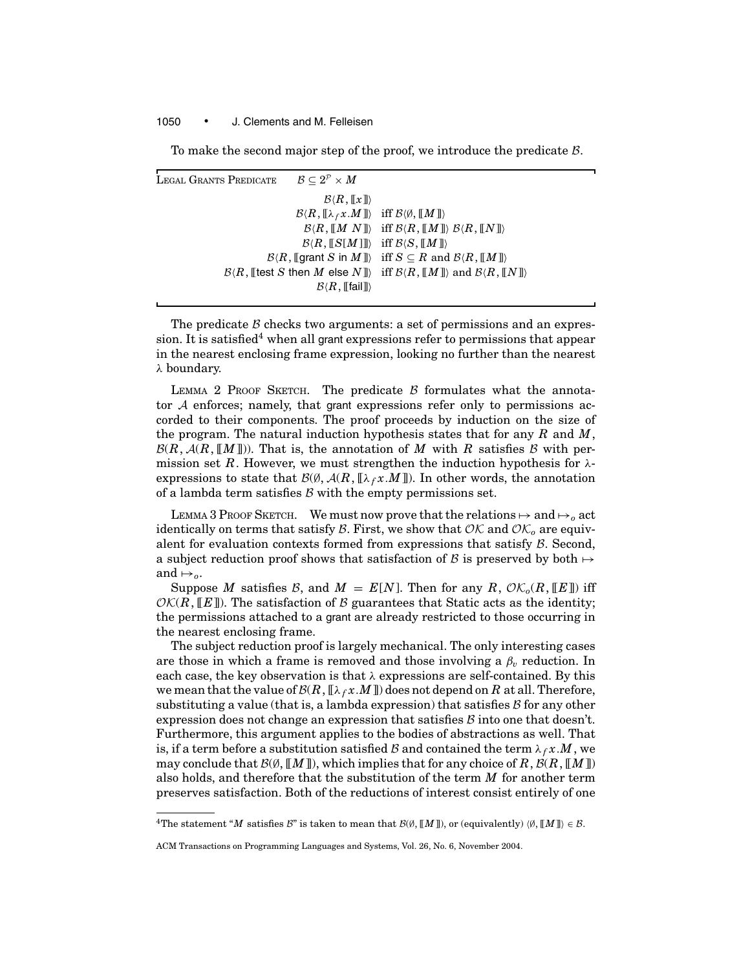To make the second major step of the proof, we introduce the predicate B.

| LEGAL GRANTS PREDICATE | $\mathcal{B} \subseteq 2^{\mathcal{P}} \times M$                                                                                       |                                                                                                                                                                               |  |
|------------------------|----------------------------------------------------------------------------------------------------------------------------------------|-------------------------------------------------------------------------------------------------------------------------------------------------------------------------------|--|
|                        | $\mathcal{B}(R,\llbracket x \rrbracket)$                                                                                               |                                                                                                                                                                               |  |
|                        | $\mathcal{B}\langle R,\llbracket \lambda_f x.M \rrbracket \rangle$ iff $\mathcal{B}\langle \emptyset, \llbracket M \rrbracket \rangle$ |                                                                                                                                                                               |  |
|                        |                                                                                                                                        | $\mathcal{B}\langle R,\llbracket M\ N\rrbracket\rangle\quad\text{iff }\mathcal{B}\langle R,\llbracket M\rrbracket\rangle\ \mathcal{B}\langle R,\llbracket N\rrbracket\rangle$ |  |
|                        | $\mathcal{B}(R,\llbracket S[M]\rrbracket)$ iff $\mathcal{B}(S,\llbracket M\rrbracket)$                                                 |                                                                                                                                                                               |  |
|                        |                                                                                                                                        | $\mathcal{B}(R,\llbracket \text{grant } S \text{ in } M \rrbracket)$ iff $S \subseteq R$ and $\mathcal{B}(R,\llbracket M \rrbracket)$                                         |  |
|                        |                                                                                                                                        | $\mathcal{B}\langle R,\mathbb{I}\rangle$ test S then M else N $\mathbb{I}\rangle$ iff $\mathcal{B}\langle R,\mathbb{I}\rangle$ and $\mathcal{B}\langle R,\mathbb{I}\rangle$   |  |
|                        | $\mathcal{B}(R,\mathbb{F}[a\mathbf{H}])$                                                                                               |                                                                                                                                                                               |  |
|                        |                                                                                                                                        |                                                                                                                                                                               |  |

The predicate  $\beta$  checks two arguments: a set of permissions and an expression. It is satisfied<sup>4</sup> when all grant expressions refer to permissions that appear in the nearest enclosing frame expression, looking no further than the nearest λ boundary.

LEMMA 2 PROOF SKETCH. The predicate  $\beta$  formulates what the annotator  $A$  enforces; namely, that grant expressions refer only to permissions accorded to their components. The proof proceeds by induction on the size of the program. The natural induction hypothesis states that for any *R* and *M*,  $\mathcal{B}(R, \mathcal{A}(R, [\![M]\!]))$ . That is, the annotation of M with R satisfies B with permission set R. However, we must strengthen the induction hypothesis for  $\lambda$ expressions to state that  $\mathcal{B}(\emptyset, \mathcal{A}(R, [\![\lambda_f x.M]\!])$ . In other words, the annotation of a lambda term satisfies  $\beta$  with the empty permissions set.

LEMMA 3 PROOF SKETCH. We must now prove that the relations  $\mapsto$  and  $\mapsto$ <sub>o</sub> act identically on terms that satisfy B. First, we show that  $\mathcal{O}\mathcal{K}$  and  $\mathcal{O}\mathcal{K}_o$  are equivalent for evaluation contexts formed from expressions that satisfy  $\beta$ . Second, a subject reduction proof shows that satisfaction of B is preserved by both  $\mapsto$ and  $\mapsto$ <sub>o</sub>.

Suppose *M* satisfies *B*, and  $M = E[N]$ . Then for any *R*,  $\mathcal{O}\mathcal{K}_o(R,\Vert E\Vert)$  iff  $\mathcal{O}(\mathcal{K}(R,\llbracket E\rrbracket)$ . The satisfaction of B guarantees that Static acts as the identity; the permissions attached to a grant are already restricted to those occurring in the nearest enclosing frame.

The subject reduction proof is largely mechanical. The only interesting cases are those in which a frame is removed and those involving a  $\beta_{\nu}$  reduction. In each case, the key observation is that  $\lambda$  expressions are self-contained. By this we mean that the value of  $\mathcal{B}(R, [\![\lambda_f x.M]\!])$  does not depend on R at all. Therefore, substituting a value (that is, a lambda expression) that satisfies  $\beta$  for any other expression does not change an expression that satisfies  $\beta$  into one that doesn't. Furthermore, this argument applies to the bodies of abstractions as well. That is, if a term before a substitution satisfied B and contained the term  $\lambda_f x.M$ , we may conclude that  $\mathcal{B}(\emptyset, [\![M]\!])$ , which implies that for any choice of R,  $\mathcal{B}(R, [\![M]\!])$ also holds, and therefore that the substitution of the term *M* for another term preserves satisfaction. Both of the reductions of interest consist entirely of one

<sup>&</sup>lt;sup>4</sup>The statement "*M* satisfies B" is taken to mean that  $\mathcal{B}(\emptyset, [\![M]\!])$ , or (equivalently)  $\langle \emptyset, [\![M]\!]\rangle \in \mathcal{B}$ .

ACM Transactions on Programming Languages and Systems, Vol. 26, No. 6, November 2004.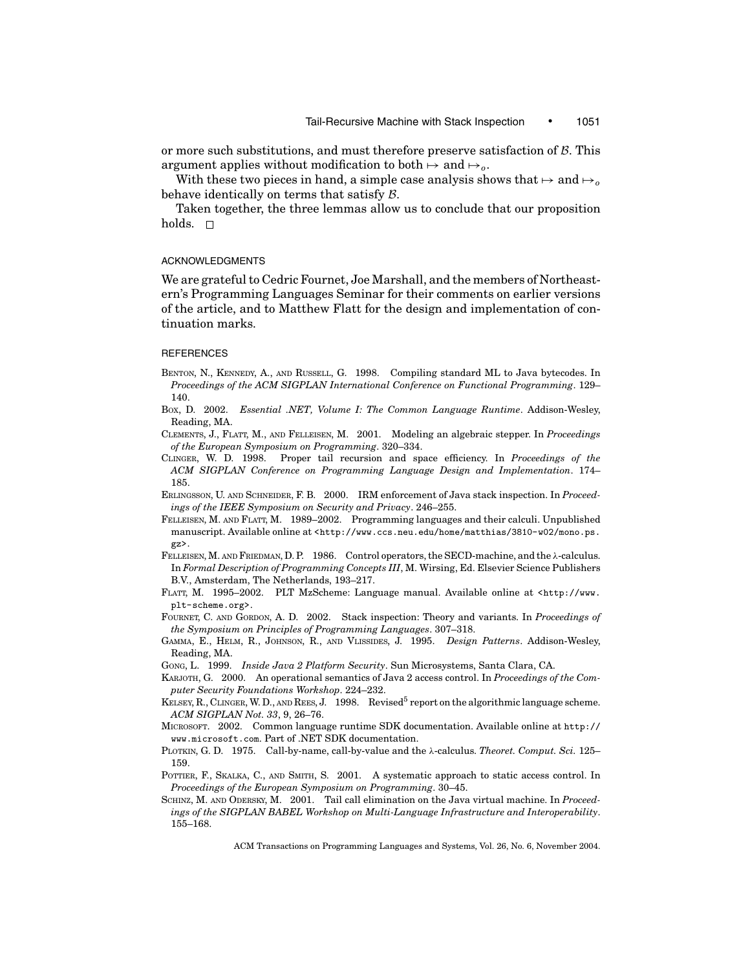or more such substitutions, and must therefore preserve satisfaction of  $\beta$ . This argument applies without modification to both  $\mapsto$  and  $\mapsto$ <sub>o</sub>.

With these two pieces in hand, a simple case analysis shows that  $\mapsto$  and  $\mapsto$ <sub>o</sub> behave identically on terms that satisfy B.

Taken together, the three lemmas allow us to conclude that our proposition holds.  $\square$ 

#### ACKNOWLEDGMENTS

We are grateful to Cedric Fournet, Joe Marshall, and the members of Northeastern's Programming Languages Seminar for their comments on earlier versions of the article, and to Matthew Flatt for the design and implementation of continuation marks.

#### **REFERENCES**

- BENTON, N., KENNEDY, A., AND RUSSELL, G. 1998. Compiling standard ML to Java bytecodes. In *Proceedings of the ACM SIGPLAN International Conference on Functional Programming*. 129– 140.
- BOX, D. 2002. *Essential .NET, Volume I: The Common Language Runtime*. Addison-Wesley, Reading, MA.
- CLEMENTS, J., FLATT, M., AND FELLEISEN, M. 2001. Modeling an algebraic stepper. In *Proceedings of the European Symposium on Programming*. 320–334.
- CLINGER, W. D. 1998. Proper tail recursion and space efficiency. In *Proceedings of the ACM SIGPLAN Conference on Programming Language Design and Implementation*. 174– 185.
- ERLINGSSON, U. AND SCHNEIDER, F. B. 2000. IRM enforcement of Java stack inspection. In *Proceedings of the IEEE Symposium on Security and Privacy*. 246–255.
- FELLEISEN, M. AND FLATT, M. 1989–2002. Programming languages and their calculi. Unpublished manuscript. Available online at <http://www.ccs.neu.edu/home/matthias/3810-w02/mono.ps. gz>.
- FELLEISEN, M. AND FRIEDMAN, D. P. 1986. Control operators, the SECD-machine, and the λ-calculus. In *Formal Description of Programming Concepts III*, M. Wirsing, Ed. Elsevier Science Publishers B.V., Amsterdam, The Netherlands, 193–217.
- FLATT, M. 1995–2002. PLT MzScheme: Language manual. Available online at <http://www. plt-scheme.org>.
- FOURNET, C. AND GORDON, A. D. 2002. Stack inspection: Theory and variants. In *Proceedings of the Symposium on Principles of Programming Languages*. 307–318.
- GAMMA, E., HELM, R., JOHNSON, R., AND VLISSIDES, J. 1995. *Design Patterns*. Addison-Wesley, Reading, MA.
- GONG, L. 1999. *Inside Java 2 Platform Security*. Sun Microsystems, Santa Clara, CA.
- KARJOTH, G. 2000. An operational semantics of Java 2 access control. In *Proceedings of the Computer Security Foundations Workshop*. 224–232.
- KELSEY, R., CLINGER, W. D., AND REES, J. 1998. Revised<sup>5</sup> report on the algorithmic language scheme. *ACM SIGPLAN Not. 33*, 9, 26–76.
- MICROSOFT. 2002. Common language runtime SDK documentation. Available online at http:// www.microsoft.com. Part of .NET SDK documentation.
- PLOTKIN, G. D. 1975. Call-by-name, call-by-value and the λ-calculus. *Theoret. Comput. Sci.* 125– 159.
- POTTIER, F., SKALKA, C., AND SMITH, S. 2001. A systematic approach to static access control. In *Proceedings of the European Symposium on Programming*. 30–45.
- SCHINZ, M. AND ODERSKY, M. 2001. Tail call elimination on the Java virtual machine. In *Proceedings of the SIGPLAN BABEL Workshop on Multi-Language Infrastructure and Interoperability*. 155–168.